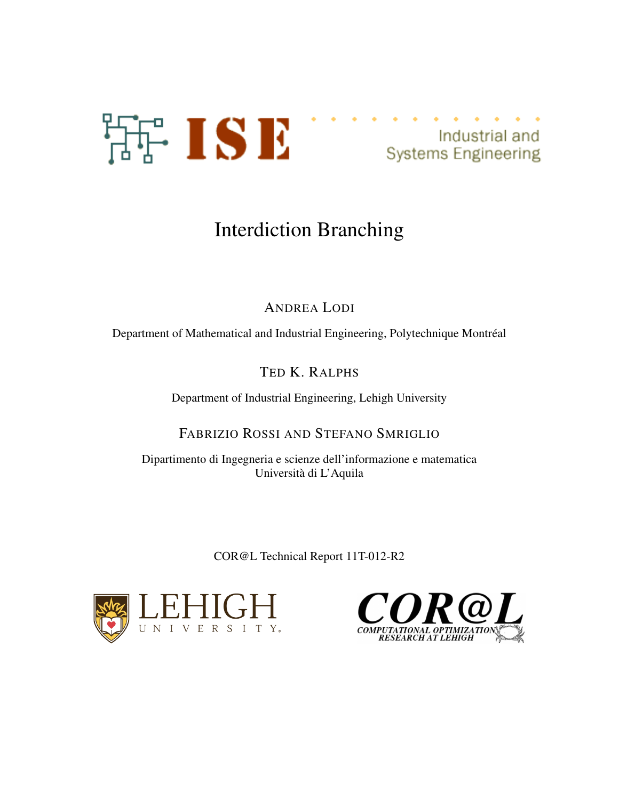



# Interdiction Branching

## ANDREA LODI

Department of Mathematical and Industrial Engineering, Polytechnique Montréal

## TED K. RALPHS

Department of Industrial Engineering, Lehigh University

## FABRIZIO ROSSI AND STEFANO SMRIGLIO

Dipartimento di Ingegneria e scienze dell'informazione e matematica Universita di L'Aquila `

COR@L Technical Report 11T-012-R2



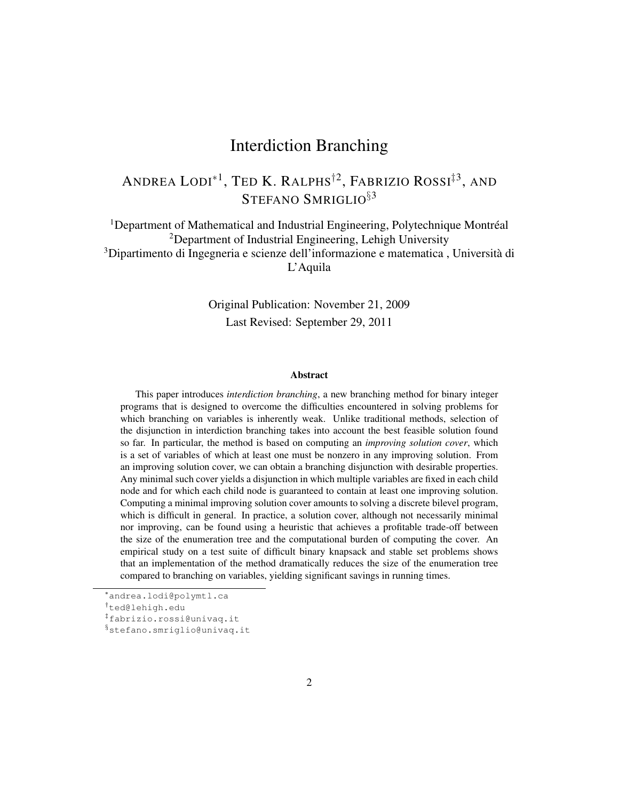## Interdiction Branching

## ANDREA LODI\*<sup>1</sup>, Ted K. Ralphs<sup>†2</sup>, Fabrizio Rossi<sup>‡3</sup>, and STEFANO SMRIGLIO<sup>§3</sup>

<sup>1</sup>Department of Mathematical and Industrial Engineering, Polytechnique Montréal <sup>2</sup>Department of Industrial Engineering, Lehigh University <sup>3</sup>Dipartimento di Ingegneria e scienze dell'informazione e matematica, Università di L'Aquila

> Original Publication: November 21, 2009 Last Revised: September 29, 2011

#### Abstract

This paper introduces *interdiction branching*, a new branching method for binary integer programs that is designed to overcome the difficulties encountered in solving problems for which branching on variables is inherently weak. Unlike traditional methods, selection of the disjunction in interdiction branching takes into account the best feasible solution found so far. In particular, the method is based on computing an *improving solution cover*, which is a set of variables of which at least one must be nonzero in any improving solution. From an improving solution cover, we can obtain a branching disjunction with desirable properties. Any minimal such cover yields a disjunction in which multiple variables are fixed in each child node and for which each child node is guaranteed to contain at least one improving solution. Computing a minimal improving solution cover amounts to solving a discrete bilevel program, which is difficult in general. In practice, a solution cover, although not necessarily minimal nor improving, can be found using a heuristic that achieves a profitable trade-off between the size of the enumeration tree and the computational burden of computing the cover. An empirical study on a test suite of difficult binary knapsack and stable set problems shows that an implementation of the method dramatically reduces the size of the enumeration tree compared to branching on variables, yielding significant savings in running times.

<sup>∗</sup>andrea.lodi@polymtl.ca

<sup>†</sup>ted@lehigh.edu

<sup>‡</sup>fabrizio.rossi@univaq.it

<sup>§</sup>stefano.smriglio@univaq.it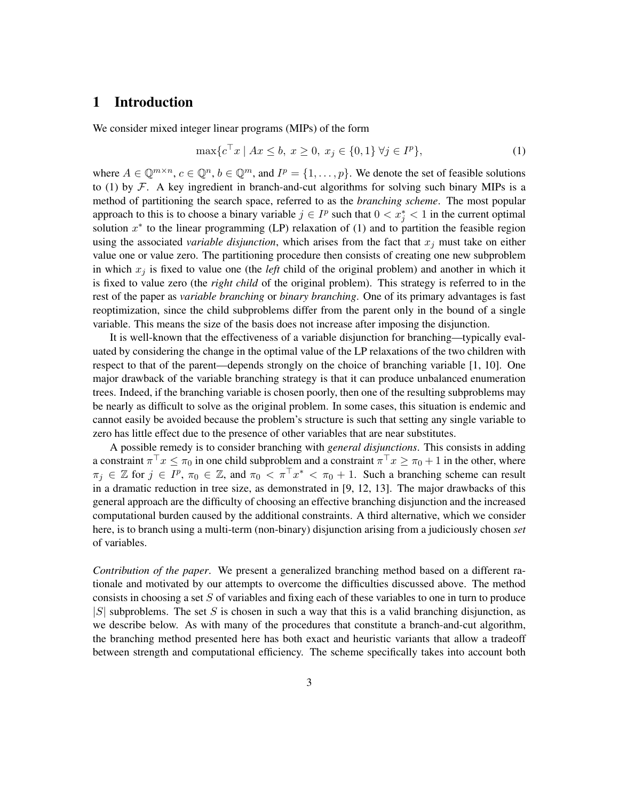## 1 Introduction

We consider mixed integer linear programs (MIPs) of the form

$$
\max\{c^{\top}x \mid Ax \le b, \ x \ge 0, \ x_j \in \{0,1\} \ \forall j \in I^p\},\tag{1}
$$

where  $A \in \mathbb{Q}^{m \times n}$ ,  $c \in \mathbb{Q}^n$ ,  $b \in \mathbb{Q}^m$ , and  $I^p = \{1, \ldots, p\}$ . We denote the set of feasible solutions to (1) by  $\mathcal{F}$ . A key ingredient in branch-and-cut algorithms for solving such binary MIPs is a method of partitioning the search space, referred to as the *branching scheme*. The most popular approach to this is to choose a binary variable  $j \in I^p$  such that  $0 < x_j^* < 1$  in the current optimal solution  $x^*$  to the linear programming (LP) relaxation of (1) and to partition the feasible region using the associated *variable disjunction*, which arises from the fact that  $x_i$  must take on either value one or value zero. The partitioning procedure then consists of creating one new subproblem in which  $x_j$  is fixed to value one (the *left* child of the original problem) and another in which it is fixed to value zero (the *right child* of the original problem). This strategy is referred to in the rest of the paper as *variable branching* or *binary branching*. One of its primary advantages is fast reoptimization, since the child subproblems differ from the parent only in the bound of a single variable. This means the size of the basis does not increase after imposing the disjunction.

It is well-known that the effectiveness of a variable disjunction for branching—typically evaluated by considering the change in the optimal value of the LP relaxations of the two children with respect to that of the parent—depends strongly on the choice of branching variable [1, 10]. One major drawback of the variable branching strategy is that it can produce unbalanced enumeration trees. Indeed, if the branching variable is chosen poorly, then one of the resulting subproblems may be nearly as difficult to solve as the original problem. In some cases, this situation is endemic and cannot easily be avoided because the problem's structure is such that setting any single variable to zero has little effect due to the presence of other variables that are near substitutes.

A possible remedy is to consider branching with *general disjunctions*. This consists in adding a constraint  $\pi^{\top} x \leq \pi_0$  in one child subproblem and a constraint  $\pi^{\top} x \geq \pi_0 + 1$  in the other, where  $\pi_j \in \mathbb{Z}$  for  $j \in I^p$ ,  $\pi_0 \in \mathbb{Z}$ , and  $\pi_0 < \pi^{\top} x^* < \pi_0 + 1$ . Such a branching scheme can result in a dramatic reduction in tree size, as demonstrated in [9, 12, 13]. The major drawbacks of this general approach are the difficulty of choosing an effective branching disjunction and the increased computational burden caused by the additional constraints. A third alternative, which we consider here, is to branch using a multi-term (non-binary) disjunction arising from a judiciously chosen *set* of variables.

*Contribution of the paper*. We present a generalized branching method based on a different rationale and motivated by our attempts to overcome the difficulties discussed above. The method consists in choosing a set  $S$  of variables and fixing each of these variables to one in turn to produce  $|S|$  subproblems. The set S is chosen in such a way that this is a valid branching disjunction, as we describe below. As with many of the procedures that constitute a branch-and-cut algorithm, the branching method presented here has both exact and heuristic variants that allow a tradeoff between strength and computational efficiency. The scheme specifically takes into account both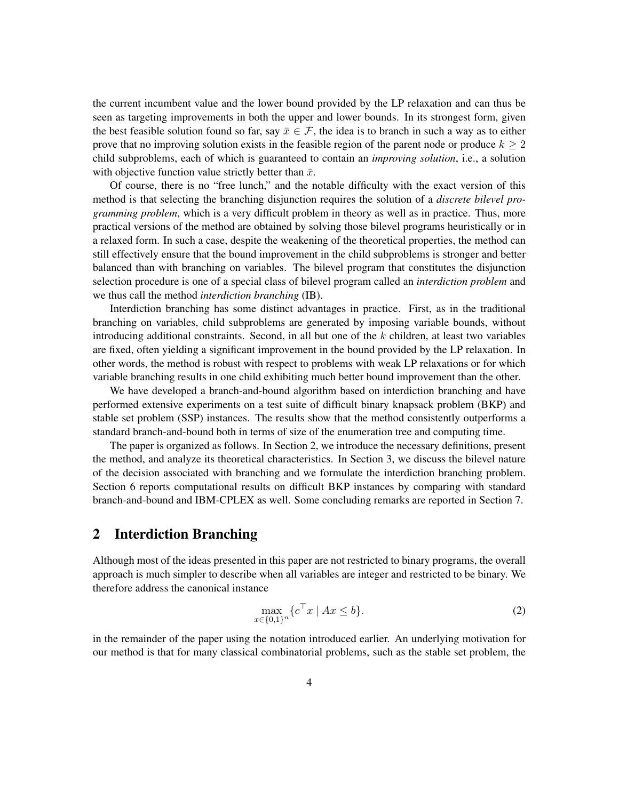the current incumbent value and the lower bound provided by the LP relaxation and can thus be seen as targeting improvements in both the upper and lower bounds. In its strongest form, given the best feasible solution found so far, say  $\bar{x} \in \mathcal{F}$ , the idea is to branch in such a way as to either prove that no improving solution exists in the feasible region of the parent node or produce  $k \geq 2$ child subproblems, each of which is guaranteed to contain an *improving solution*, i.e., a solution with objective function value strictly better than  $\bar{x}$ .

Of course, there is no "free lunch," and the notable difficulty with the exact version of this method is that selecting the branching disjunction requires the solution of a *discrete bilevel programming problem*, which is a very difficult problem in theory as well as in practice. Thus, more practical versions of the method are obtained by solving those bilevel programs heuristically or in a relaxed form. In such a case, despite the weakening of the theoretical properties, the method can still effectively ensure that the bound improvement in the child subproblems is stronger and better balanced than with branching on variables. The bilevel program that constitutes the disjunction selection procedure is one of a special class of bilevel program called an *interdiction problem* and we thus call the method *interdiction branching* (IB).

Interdiction branching has some distinct advantages in practice. First, as in the traditional branching on variables, child subproblems are generated by imposing variable bounds, without introducing additional constraints. Second, in all but one of the  $k$  children, at least two variables are fixed, often yielding a significant improvement in the bound provided by the LP relaxation. In other words, the method is robust with respect to problems with weak LP relaxations or for which variable branching results in one child exhibiting much better bound improvement than the other.

We have developed a branch-and-bound algorithm based on interdiction branching and have performed extensive experiments on a test suite of difficult binary knapsack problem (BKP) and stable set problem (SSP) instances. The results show that the method consistently outperforms a standard branch-and-bound both in terms of size of the enumeration tree and computing time.

The paper is organized as follows. In Section 2, we introduce the necessary definitions, present the method, and analyze its theoretical characteristics. In Section 3, we discuss the bilevel nature of the decision associated with branching and we formulate the interdiction branching problem. Section 6 reports computational results on difficult BKP instances by comparing with standard branch-and-bound and IBM-CPLEX as well. Some concluding remarks are reported in Section 7.

## 2 Interdiction Branching

Although most of the ideas presented in this paper are not restricted to binary programs, the overall approach is much simpler to describe when all variables are integer and restricted to be binary. We therefore address the canonical instance

$$
\max_{x \in \{0,1\}^n} \{c^\top x \mid Ax \le b\}.\tag{2}
$$

in the remainder of the paper using the notation introduced earlier. An underlying motivation for our method is that for many classical combinatorial problems, such as the stable set problem, the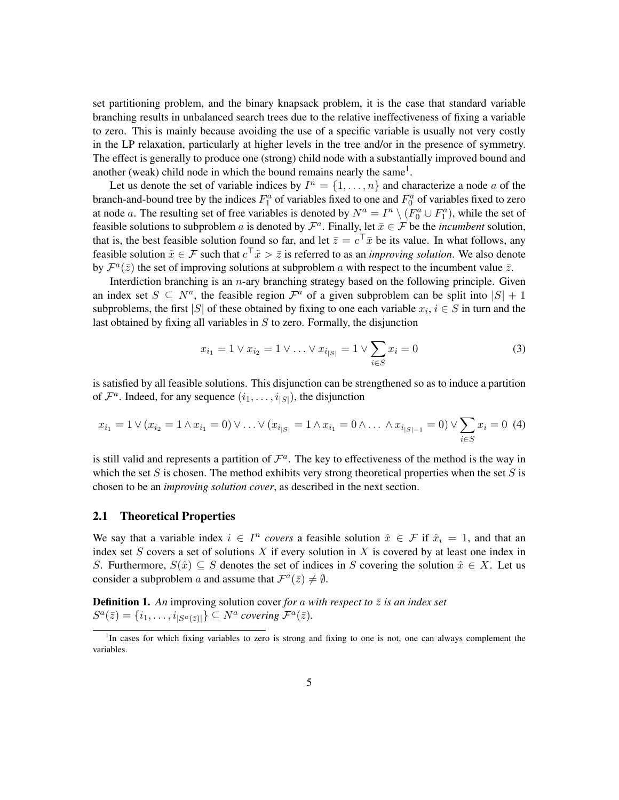set partitioning problem, and the binary knapsack problem, it is the case that standard variable branching results in unbalanced search trees due to the relative ineffectiveness of fixing a variable to zero. This is mainly because avoiding the use of a specific variable is usually not very costly in the LP relaxation, particularly at higher levels in the tree and/or in the presence of symmetry. The effect is generally to produce one (strong) child node with a substantially improved bound and another (weak) child node in which the bound remains nearly the same<sup>1</sup>.

Let us denote the set of variable indices by  $I^n = \{1, \ldots, n\}$  and characterize a node a of the branch-and-bound tree by the indices  $F_1^a$  of variables fixed to one and  $F_0^a$  of variables fixed to zero at node a. The resulting set of free variables is denoted by  $N^a = I^n \setminus (F_0^a \cup F_1^a)$ , while the set of feasible solutions to subproblem a is denoted by  $\mathcal{F}^a$ . Finally, let  $\bar{x} \in \mathcal{F}$  be the *incumbent* solution, that is, the best feasible solution found so far, and let  $\bar{z} = c^{\top} \bar{x}$  be its value. In what follows, any feasible solution  $\tilde{x} \in \mathcal{F}$  such that  $c^{\top} \tilde{x} > \bar{z}$  is referred to as an *improving solution*. We also denote by  $\mathcal{F}^a(\bar{z})$  the set of improving solutions at subproblem a with respect to the incumbent value  $\bar{z}$ .

Interdiction branching is an  $n$ -ary branching strategy based on the following principle. Given an index set  $S \subseteq N^a$ , the feasible region  $\mathcal{F}^a$  of a given subproblem can be split into  $|S| + 1$ subproblems, the first |S| of these obtained by fixing to one each variable  $x_i$ ,  $i \in S$  in turn and the last obtained by fixing all variables in  $S$  to zero. Formally, the disjunction

$$
x_{i_1} = 1 \lor x_{i_2} = 1 \lor \dots \lor x_{i_{|S|}} = 1 \lor \sum_{i \in S} x_i = 0 \tag{3}
$$

is satisfied by all feasible solutions. This disjunction can be strengthened so as to induce a partition of  $\mathcal{F}^a$ . Indeed, for any sequence  $(i_1, \ldots, i_{|S|})$ , the disjunction

$$
x_{i_1} = 1 \vee (x_{i_2} = 1 \wedge x_{i_1} = 0) \vee \ldots \vee (x_{i_{|S|}} = 1 \wedge x_{i_1} = 0 \wedge \ldots \wedge x_{i_{|S|-1}} = 0) \vee \sum_{i \in S} x_i = 0 \tag{4}
$$

is still valid and represents a partition of  $\mathcal{F}^a$ . The key to effectiveness of the method is the way in which the set S is chosen. The method exhibits very strong theoretical properties when the set S is chosen to be an *improving solution cover*, as described in the next section.

#### 2.1 Theoretical Properties

We say that a variable index  $i \in I^n$  covers a feasible solution  $\hat{x} \in \mathcal{F}$  if  $\hat{x}_i = 1$ , and that an index set  $S$  covers a set of solutions  $X$  if every solution in  $X$  is covered by at least one index in S. Furthermore,  $S(\hat{x}) \subseteq S$  denotes the set of indices in S covering the solution  $\hat{x} \in X$ . Let us consider a subproblem a and assume that  $\mathcal{F}^a(\bar{z}) \neq \emptyset$ .

**Definition 1.** An improving solution cover *for* a *with respect to*  $\bar{z}$  *is an index set*  $S^a(\bar{z}) = \{i_1, \ldots, i_{|S^a(\bar{z})|}\} \subseteq N^a$  covering  $\mathcal{F}^a(\bar{z})$ .

<sup>&</sup>lt;sup>1</sup>In cases for which fixing variables to zero is strong and fixing to one is not, one can always complement the variables.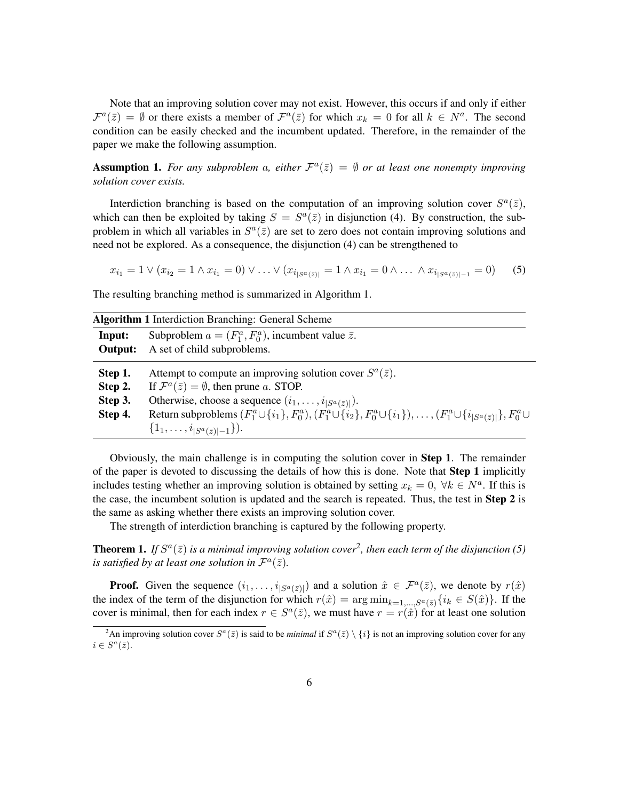Note that an improving solution cover may not exist. However, this occurs if and only if either  $\mathcal{F}^{a}(\bar{z}) = \emptyset$  or there exists a member of  $\mathcal{F}^{a}(\bar{z})$  for which  $x_k = 0$  for all  $k \in N^a$ . The second condition can be easily checked and the incumbent updated. Therefore, in the remainder of the paper we make the following assumption.

**Assumption 1.** For any subproblem a, either  $\mathcal{F}^a(\bar{z}) = \emptyset$  or at least one nonempty improving *solution cover exists.*

Interdiction branching is based on the computation of an improving solution cover  $S^a(\bar{z})$ , which can then be exploited by taking  $S = S<sup>a</sup>(\bar{z})$  in disjunction (4). By construction, the subproblem in which all variables in  $S^a(\bar{z})$  are set to zero does not contain improving solutions and need not be explored. As a consequence, the disjunction (4) can be strengthened to

$$
x_{i_1} = 1 \lor (x_{i_2} = 1 \land x_{i_1} = 0) \lor \dots \lor (x_{i_{|S^a(\bar{z})|}} = 1 \land x_{i_1} = 0 \land \dots \land x_{i_{|S^a(\bar{z})|-1}} = 0)
$$
 (5)

The resulting branching method is summarized in Algorithm 1.

| <b>Algorithm 1</b> Interdiction Branching: General Scheme |                                                                                                                                                    |  |  |  |  |  |  |  |
|-----------------------------------------------------------|----------------------------------------------------------------------------------------------------------------------------------------------------|--|--|--|--|--|--|--|
| Input:                                                    | Subproblem $a = (F_1^a, F_0^a)$ , incumbent value $\overline{z}$ .                                                                                 |  |  |  |  |  |  |  |
| Output:                                                   | A set of child subproblems.                                                                                                                        |  |  |  |  |  |  |  |
| Step 1.                                                   | Attempt to compute an improving solution cover $S^a(\bar{z})$ .                                                                                    |  |  |  |  |  |  |  |
| Step 2.                                                   | If $\mathcal{F}^a(\bar{z}) = \emptyset$ , then prune a. STOP.                                                                                      |  |  |  |  |  |  |  |
| Step 3.                                                   | Otherwise, choose a sequence $(i_1, \ldots, i_{ S^a(\bar{z}) }).$                                                                                  |  |  |  |  |  |  |  |
| Step 4.                                                   | Return subproblems $(F_1^a \cup \{i_1\}, F_0^a), (F_1^a \cup \{i_2\}, F_0^a \cup \{i_1\}), \ldots, (F_1^a \cup \{i_{ S^a(\bar{z}) }\}, F_0^a \cup$ |  |  |  |  |  |  |  |
|                                                           | $\{1_1,\ldots,i_{ S^a(\bar{z}) -1}\}\.$                                                                                                            |  |  |  |  |  |  |  |

Obviously, the main challenge is in computing the solution cover in Step 1. The remainder of the paper is devoted to discussing the details of how this is done. Note that Step 1 implicitly includes testing whether an improving solution is obtained by setting  $x_k = 0$ ,  $\forall k \in N^a$ . If this is the case, the incumbent solution is updated and the search is repeated. Thus, the test in Step 2 is the same as asking whether there exists an improving solution cover.

The strength of interdiction branching is captured by the following property.

**Theorem 1.** If  $S^a(\bar{z})$  is a minimal improving solution cover<sup>2</sup>, then each term of the disjunction (5) is satisfied by at least one solution in  $\mathcal{F}^a(\bar{z})$ .

**Proof.** Given the sequence  $(i_1, \ldots, i_{|S^a(\bar{z})|})$  and a solution  $\hat{x} \in \mathcal{F}^a(\bar{z})$ , we denote by  $r(\hat{x})$ the index of the term of the disjunction for which  $r(\hat{x}) = \arg \min_{k=1,\dots,S^a(\bar{z})} \{i_k \in S(\hat{x})\}\.$  If the cover is minimal, then for each index  $r \in S^a(\bar{z})$ , we must have  $r = r(\hat{x})$  for at least one solution

<sup>&</sup>lt;sup>2</sup>An improving solution cover  $S^a(\bar{z})$  is said to be *minimal* if  $S^a(\bar{z}) \setminus \{i\}$  is not an improving solution cover for any  $i \in S^a(\bar{z}).$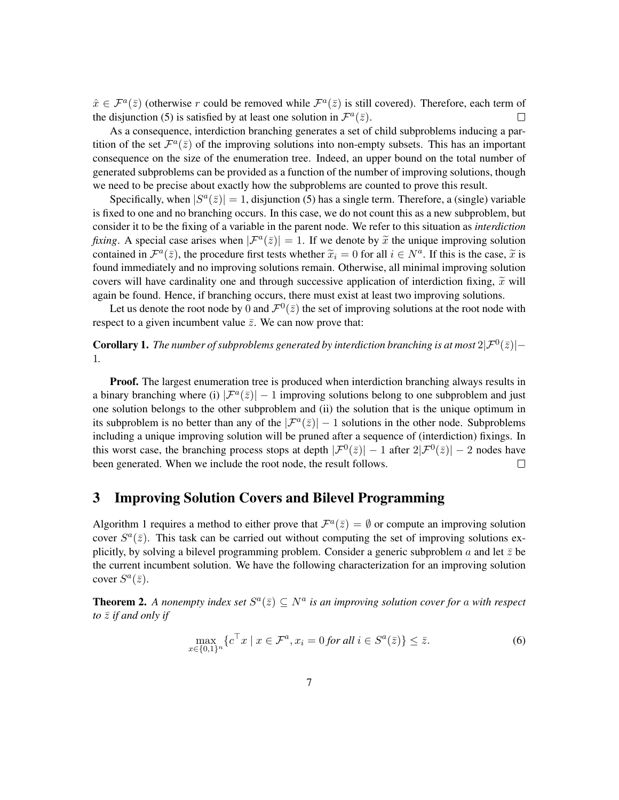$\hat{x} \in \mathcal{F}^a(\bar{z})$  (otherwise r could be removed while  $\mathcal{F}^a(\bar{z})$  is still covered). Therefore, each term of the disjunction (5) is satisfied by at least one solution in  $\mathcal{F}^a(\bar{z})$ .  $\Box$ 

As a consequence, interdiction branching generates a set of child subproblems inducing a partition of the set  $\mathcal{F}^a(\bar{z})$  of the improving solutions into non-empty subsets. This has an important consequence on the size of the enumeration tree. Indeed, an upper bound on the total number of generated subproblems can be provided as a function of the number of improving solutions, though we need to be precise about exactly how the subproblems are counted to prove this result.

Specifically, when  $|S^a(\bar{z})| = 1$ , disjunction (5) has a single term. Therefore, a (single) variable is fixed to one and no branching occurs. In this case, we do not count this as a new subproblem, but consider it to be the fixing of a variable in the parent node. We refer to this situation as *interdiction fixing*. A special case arises when  $|\mathcal{F}^a(\bar{z})| = 1$ . If we denote by  $\tilde{x}$  the unique improving solution contained in  $\mathcal{F}^{a}(\bar{z})$ , the procedure first tosts whether  $\tilde{x}_i = 0$  for all  $i \in \mathcal{N}^a$ . If this i contained in  $\mathcal{F}^a(\bar{z})$ , the procedure first tests whether  $\tilde{x}_i = 0$  for all  $i \in N^a$ . If this is the case,  $\tilde{x}$  is found immediately and no improving colutions remain. Otherwise, all minimal improving colution found immediately and no improving solutions remain. Otherwise, all minimal improving solution covers will have cardinality one and through successive application of interdiction fixing,  $\tilde{x}$  will again be found. Hence, if branching occurs, there must exist at least two improving solutions.

Let us denote the root node by 0 and  $\mathcal{F}^0(\bar{z})$  the set of improving solutions at the root node with respect to a given incumbent value  $\bar{z}$ . We can now prove that:

**Corollary 1.** The number of subproblems generated by interdiction branching is at most  $2|\mathcal{F}^0(\bar{z})|$  – 1*.*

**Proof.** The largest enumeration tree is produced when interdiction branching always results in a binary branching where (i)  $|\mathcal{F}^{a}(\bar{z})| - 1$  improving solutions belong to one subproblem and just one solution belongs to the other subproblem and (ii) the solution that is the unique optimum in its subproblem is no better than any of the  $|\mathcal{F}^{a}(\bar{z})| - 1$  solutions in the other node. Subproblems including a unique improving solution will be pruned after a sequence of (interdiction) fixings. In this worst case, the branching process stops at depth  $|\mathcal{F}^0(\bar{z})| - 1$  after  $2|\mathcal{F}^0(\bar{z})| - 2$  nodes have been generated. When we include the root node, the result follows.

### 3 Improving Solution Covers and Bilevel Programming

Algorithm 1 requires a method to either prove that  $\mathcal{F}^a(\bar{z}) = \emptyset$  or compute an improving solution cover  $S^a(\bar{z})$ . This task can be carried out without computing the set of improving solutions explicitly, by solving a bilevel programming problem. Consider a generic subproblem a and let  $\bar{z}$  be the current incumbent solution. We have the following characterization for an improving solution cover  $S^a(\bar{z})$ .

**Theorem 2.** A nonempty index set  $S^a(\bar{z}) \subseteq N^a$  is an improving solution cover for a with respect *to*  $\bar{z}$  *if and only if* 

$$
\max_{x \in \{0,1\}^n} \{ c^\top x \mid x \in \mathcal{F}^a, x_i = 0 \text{ for all } i \in S^a(\bar{z}) \} \le \bar{z}.\tag{6}
$$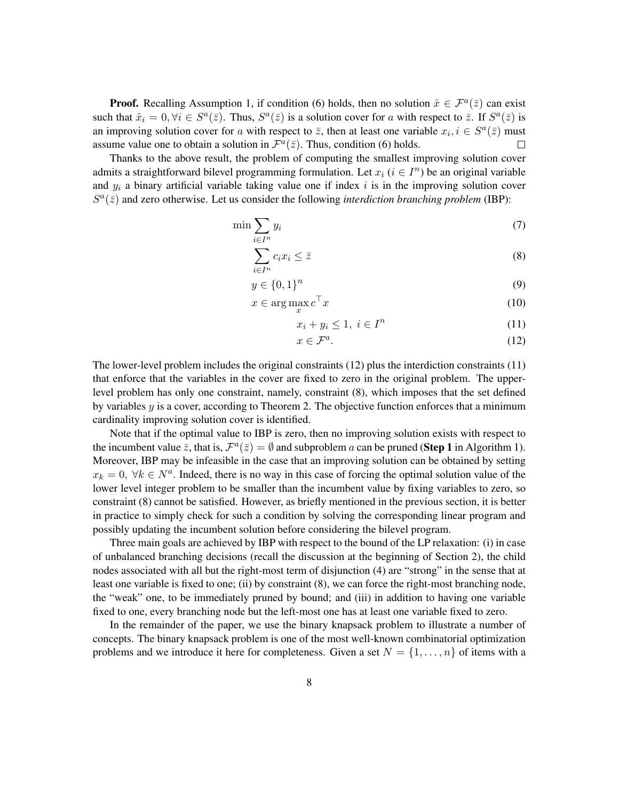**Proof.** Recalling Assumption 1, if condition (6) holds, then no solution  $\hat{x} \in \mathcal{F}^a(\bar{z})$  can exist such that  $\hat{x}_i = 0, \forall i \in S^a(\bar{z})$ . Thus,  $S^a(\bar{z})$  is a solution cover for a with respect to  $\bar{z}$ . If  $S^a(\bar{z})$  is an improving solution cover for a with respect to  $\bar{z}$ , then at least one variable  $x_i, i \in S^a(\bar{z})$  must assume value one to obtain a solution in  $\mathcal{F}^a(\bar{z})$ . Thus, condition (6) holds.  $\Box$ 

Thanks to the above result, the problem of computing the smallest improving solution cover admits a straightforward bilevel programming formulation. Let  $x_i$   $(i \in I<sup>n</sup>)$  be an original variable and  $y_i$  a binary artificial variable taking value one if index i is in the improving solution cover  $S^a(\bar{z})$  and zero otherwise. Let us consider the following *interdiction branching problem* (IBP):

$$
\min \sum_{i \in I^n} y_i \tag{7}
$$

$$
\sum_{i \in I^n} c_i x_i \le \bar{z} \tag{8}
$$

$$
y \in \{0,1\}^n \tag{9}
$$

$$
x \in \arg\max_{x} c^{\top} x \tag{10}
$$

$$
x_i + y_i \le 1, \ i \in I^n \tag{11}
$$

$$
x \in \mathcal{F}^a. \tag{12}
$$

The lower-level problem includes the original constraints (12) plus the interdiction constraints (11) that enforce that the variables in the cover are fixed to zero in the original problem. The upperlevel problem has only one constraint, namely, constraint (8), which imposes that the set defined by variables  $y$  is a cover, according to Theorem 2. The objective function enforces that a minimum cardinality improving solution cover is identified.

Note that if the optimal value to IBP is zero, then no improving solution exists with respect to the incumbent value  $\bar{z}$ , that is,  $\mathcal{F}^a(\bar{z}) = \emptyset$  and subproblem a can be pruned (**Step 1** in Algorithm 1). Moreover, IBP may be infeasible in the case that an improving solution can be obtained by setting  $x_k = 0$ ,  $\forall k \in N^a$ . Indeed, there is no way in this case of forcing the optimal solution value of the lower level integer problem to be smaller than the incumbent value by fixing variables to zero, so constraint (8) cannot be satisfied. However, as briefly mentioned in the previous section, it is better in practice to simply check for such a condition by solving the corresponding linear program and possibly updating the incumbent solution before considering the bilevel program.

Three main goals are achieved by IBP with respect to the bound of the LP relaxation: (i) in case of unbalanced branching decisions (recall the discussion at the beginning of Section 2), the child nodes associated with all but the right-most term of disjunction (4) are "strong" in the sense that at least one variable is fixed to one; (ii) by constraint (8), we can force the right-most branching node, the "weak" one, to be immediately pruned by bound; and (iii) in addition to having one variable fixed to one, every branching node but the left-most one has at least one variable fixed to zero.

In the remainder of the paper, we use the binary knapsack problem to illustrate a number of concepts. The binary knapsack problem is one of the most well-known combinatorial optimization problems and we introduce it here for completeness. Given a set  $N = \{1, \ldots, n\}$  of items with a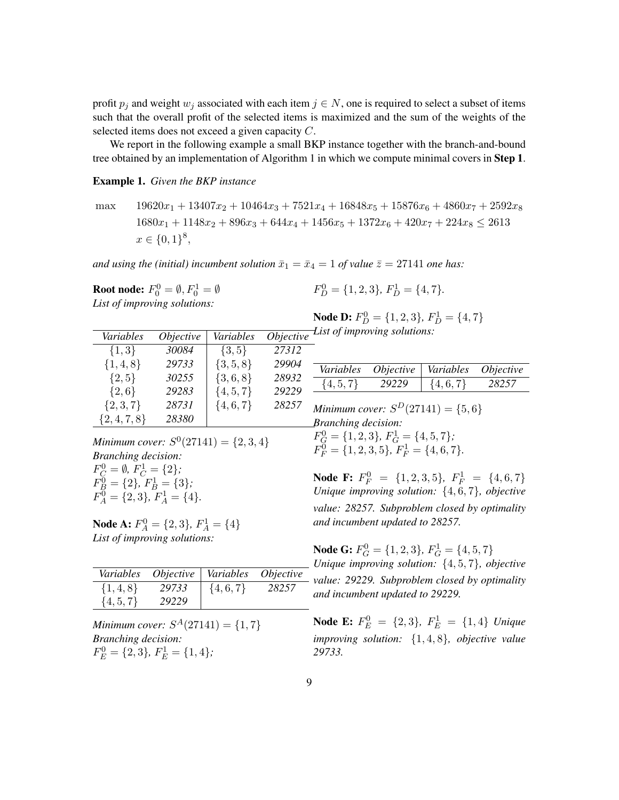profit  $p_j$  and weight  $w_j$  associated with each item  $j \in N$ , one is required to select a subset of items such that the overall profit of the selected items is maximized and the sum of the weights of the selected items does not exceed a given capacity C.

We report in the following example a small BKP instance together with the branch-and-bound tree obtained by an implementation of Algorithm 1 in which we compute minimal covers in Step 1.

#### Example 1. *Given the BKP instance*

max  $19620x_1 + 13407x_2 + 10464x_3 + 7521x_4 + 16848x_5 + 15876x_6 + 4860x_7 + 2592x_8$  $1680x_1 + 1148x_2 + 896x_3 + 644x_4 + 1456x_5 + 1372x_6 + 420x_7 + 224x_8 \leq 2613$  $x \in \{0,1\}^8,$ 

*and using the (initial) incumbent solution*  $\bar{x}_1 = \bar{x}_4 = 1$  *of value*  $\bar{z} = 27141$  *one has:* 

**Root node:**  $F_0^0 = \emptyset$ ,  $F_0^1 = \emptyset$ *List of improving solutions:*

*Variables Objective Variables* 

$$
F_D^0 = \{1, 2, 3\}, F_D^1 = \{4, 7\}.
$$

**Node D:**  $F_D^0 = \{1, 2, 3\}$ ,  $F_D^1 = \{4, 7\}$ *List of improving solutions:*

| $\{1,3\}$                                                               | 30084 | $\{3, 5\}$    | 27312 |                                                                                               |                  |               |                  |  |  |  |  |
|-------------------------------------------------------------------------|-------|---------------|-------|-----------------------------------------------------------------------------------------------|------------------|---------------|------------------|--|--|--|--|
| $\{1,4,8\}$                                                             | 29733 | $\{3, 5, 8\}$ | 29904 | Variables                                                                                     | <i>Objective</i> | Variables     | <i>Objective</i> |  |  |  |  |
| $\{2, 5\}$                                                              | 30255 | $\{3,6,8\}$   | 28932 | $\{4, 5, 7\}$                                                                                 | 29229            | $\{4, 6, 7\}$ | 28257            |  |  |  |  |
| $\{2,6\}$                                                               | 29283 | $\{4, 5, 7\}$ | 29229 |                                                                                               |                  |               |                  |  |  |  |  |
| $\{2,3,7\}$                                                             | 28731 | $\{4, 6, 7\}$ | 28257 | Minimum cover: $S^D(27141) = \{5,6\}$                                                         |                  |               |                  |  |  |  |  |
| $\{2,4,7,8\}$                                                           | 28380 |               |       | <b>Branching decision:</b>                                                                    |                  |               |                  |  |  |  |  |
| Minimum cover: $S^0(27141) = \{2, 3, 4\}$<br><b>Branching decision:</b> |       |               |       | $F_G^0 = \{1, 2, 3\}, F_G^1 = \{4, 5, 7\};$<br>$F_F^0 = \{1, 2, 3, 5\}, F_F^1 = \{4, 6, 7\}.$ |                  |               |                  |  |  |  |  |
| $F_C^0 = \emptyset, F_C^1 = \{2\};$                                     |       |               |       |                                                                                               |                  |               |                  |  |  |  |  |
| $F_B^0 = \{2\}, F_B^1 = \{3\};$                                         |       |               |       | <b>Node F:</b> $F_F^0 = \{1, 2, 3, 5\}$ , $F_F^1 = \{4, 6, 7\}$                               |                  |               |                  |  |  |  |  |
|                                                                         |       |               |       | Unique improving solution: $\int A \, \beta$ 7) objective                                     |                  |               |                  |  |  |  |  |

**Node A:**  $F_A^0 = \{2, 3\}$ ,  $F_A^1 = \{4\}$ *List of improving solutions:*

 $F_A^0 = \{2, 3\}, F_A^1 = \{4\}.$ 

| $\{1,4,8\}$<br>$\{4, 6, 7\}$<br>29733 |       |
|---------------------------------------|-------|
|                                       | 28257 |
| $\{4, 5, 7\}$<br>29229                |       |

*Minimum cover:*  $S^A(27141) = \{1, 7\}$ *Branching decision:*  $F_E^0 = \{2, 3\}, F_E^1 = \{1, 4\};\$ 

*Unique improving solution:* {4, 6, 7}*, objective value: 28257. Subproblem closed by optimality and incumbent updated to 28257.*

**Node G:**  $F_G^0 = \{1, 2, 3\}$ ,  $F_G^1 = \{4, 5, 7\}$ *Unique improving solution:* {4, 5, 7}*, objective value: 29229. Subproblem closed by optimality and incumbent updated to 29229.*

**Node E:**  $F_E^0 = \{2, 3\}$ ,  $F_E^1 = \{1, 4\}$  *Unique improving solution:* {1, 4, 8}*, objective value 29733.*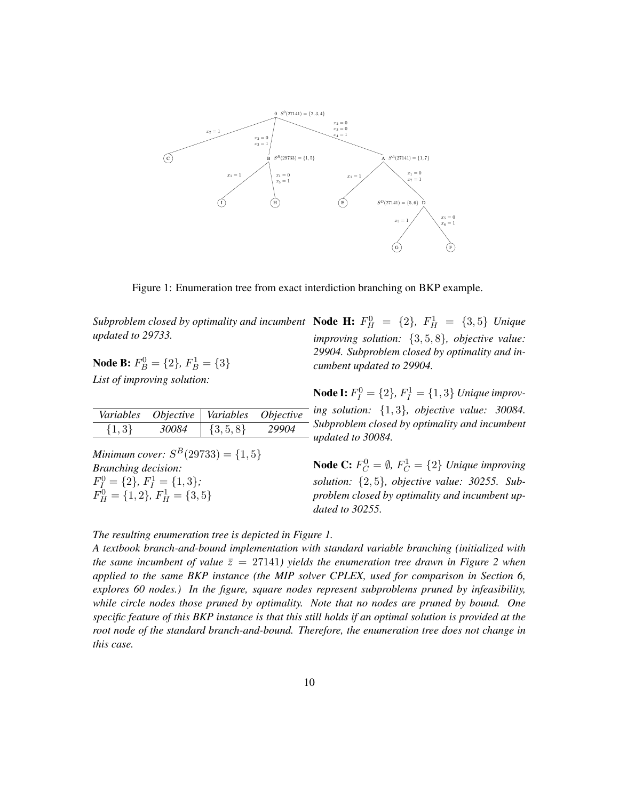

Figure 1: Enumeration tree from exact interdiction branching on BKP example.

*updated to 29733.*

**Node B:**  $F_B^0 = \{2\}$ ,  $F_B^1 = \{3\}$ *List of improving solution:*

| Variables | <i>Objective</i> | Variables     | <i>Objective</i> |
|-----------|------------------|---------------|------------------|
| $\{1,3\}$ | 30084            | $\{3, 5, 8\}$ | 29904            |

*Minimum cover:*  $S^B(29733) = \{1, 5\}$ *Branching decision:*  $F_I^0 = \{2\}, F_I^1 = \{1, 3\};$  $F_H^0 = \{1, 2\}, F_H^1 = \{3, 5\}$ 

*Subproblem closed by optimality and incumbent* **Node H:**  $F_H^0 = \{2\}$ ,  $F_H^1 = \{3, 5\}$  *Unique improving solution:* {3, 5, 8}*, objective value: 29904. Subproblem closed by optimality and incumbent updated to 29904.*

> **Node I:**  $F_I^0 = \{2\}$ ,  $F_I^1 = \{1, 3\}$  *Unique improving solution:* {1, 3}*, objective value: 30084. Subproblem closed by optimality and incumbent updated to 30084.*

**Node C:**  $F_C^0 = \emptyset$ ,  $F_C^1 = \{2\}$  *Unique improving solution:* {2, 5}*, objective value: 30255. Subproblem closed by optimality and incumbent updated to 30255.*

*The resulting enumeration tree is depicted in Figure 1.*

*A textbook branch-and-bound implementation with standard variable branching (initialized with the same incumbent of value*  $\bar{z} = 27141$ *) yields the enumeration tree drawn in Figure 2 when applied to the same BKP instance (the MIP solver CPLEX, used for comparison in Section 6, explores 60 nodes.) In the figure, square nodes represent subproblems pruned by infeasibility, while circle nodes those pruned by optimality. Note that no nodes are pruned by bound. One specific feature of this BKP instance is that this still holds if an optimal solution is provided at the root node of the standard branch-and-bound. Therefore, the enumeration tree does not change in this case.*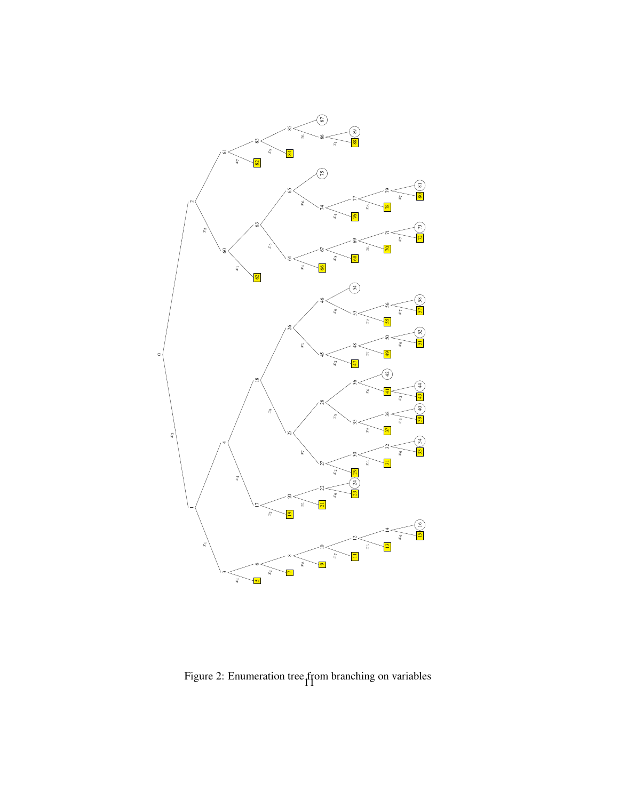

Figure 2: Enumeration tree from branching on variables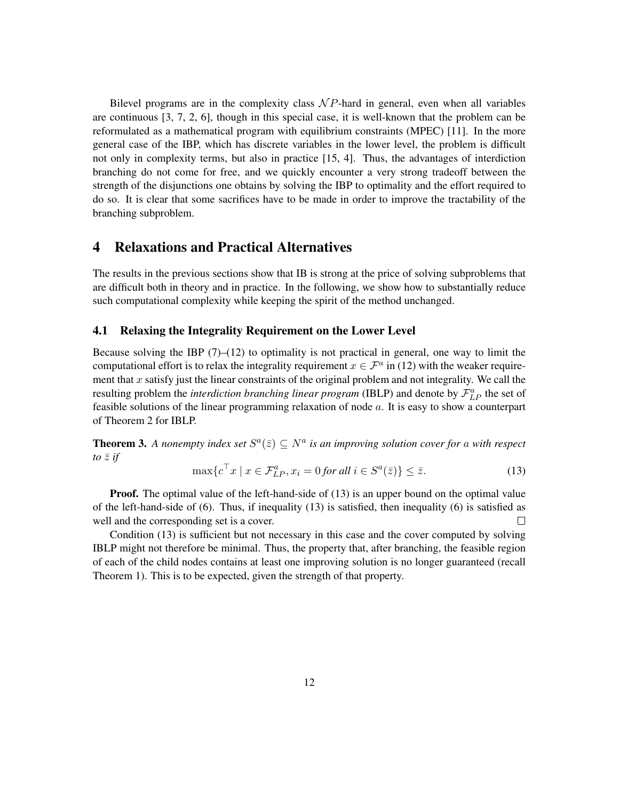Bilevel programs are in the complexity class  $\mathcal{N}P$ -hard in general, even when all variables are continuous [3, 7, 2, 6], though in this special case, it is well-known that the problem can be reformulated as a mathematical program with equilibrium constraints (MPEC) [11]. In the more general case of the IBP, which has discrete variables in the lower level, the problem is difficult not only in complexity terms, but also in practice [15, 4]. Thus, the advantages of interdiction branching do not come for free, and we quickly encounter a very strong tradeoff between the strength of the disjunctions one obtains by solving the IBP to optimality and the effort required to do so. It is clear that some sacrifices have to be made in order to improve the tractability of the branching subproblem.

## 4 Relaxations and Practical Alternatives

The results in the previous sections show that IB is strong at the price of solving subproblems that are difficult both in theory and in practice. In the following, we show how to substantially reduce such computational complexity while keeping the spirit of the method unchanged.

#### 4.1 Relaxing the Integrality Requirement on the Lower Level

Because solving the IBP  $(7)$ – $(12)$  to optimality is not practical in general, one way to limit the computational effort is to relax the integrality requirement  $x \in \mathcal{F}^a$  in (12) with the weaker requirement that  $x$  satisfy just the linear constraints of the original problem and not integrality. We call the resulting problem the *interdiction branching linear program* (IBLP) and denote by  $\mathcal{F}_{LP}^a$  the set of feasible solutions of the linear programming relaxation of node a. It is easy to show a counterpart of Theorem 2 for IBLP.

**Theorem 3.** A nonempty index set  $S^a(\bar{z}) \subseteq N^a$  is an improving solution cover for a with respect *to*  $\overline{z}$  *if* 

$$
\max\{c^{\top}x \mid x \in \mathcal{F}_{LP}^a, x_i = 0 \text{ for all } i \in S^a(\bar{z})\} \le \bar{z}.\tag{13}
$$

**Proof.** The optimal value of the left-hand-side of (13) is an upper bound on the optimal value of the left-hand-side of (6). Thus, if inequality (13) is satisfied, then inequality (6) is satisfied as well and the corresponding set is a cover.  $\Box$ 

Condition (13) is sufficient but not necessary in this case and the cover computed by solving IBLP might not therefore be minimal. Thus, the property that, after branching, the feasible region of each of the child nodes contains at least one improving solution is no longer guaranteed (recall Theorem 1). This is to be expected, given the strength of that property.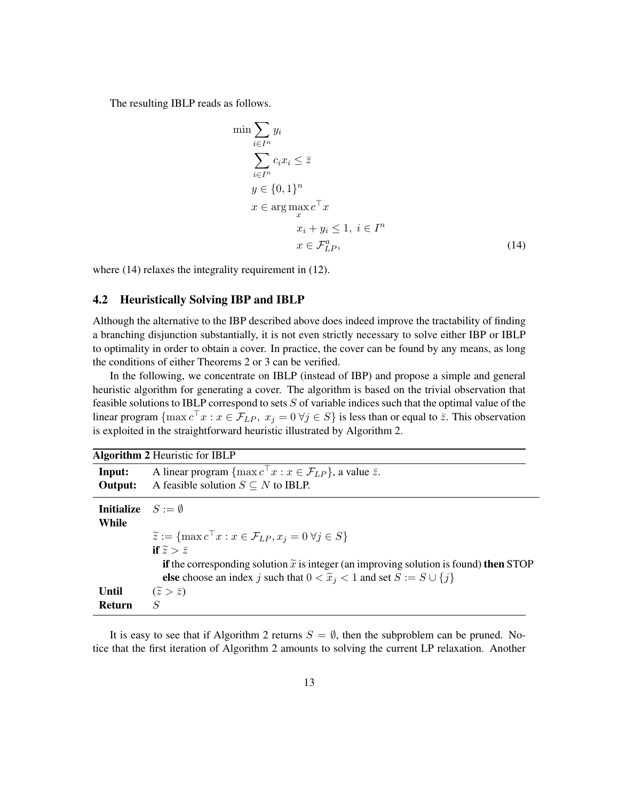The resulting IBLP reads as follows.

$$
\min \sum_{i \in I^n} y_i
$$
\n
$$
\sum_{i \in I^n} c_i x_i \leq \overline{z}
$$
\n
$$
y \in \{0, 1\}^n
$$
\n
$$
x \in \arg \max_{x} c^{\top} x
$$
\n
$$
x_i + y_i \leq 1, \ i \in I^n
$$
\n
$$
x \in \mathcal{F}_{LP}^a,
$$
\n(14)

where (14) relaxes the integrality requirement in (12).

#### 4.2 Heuristically Solving IBP and IBLP

Although the alternative to the IBP described above does indeed improve the tractability of finding a branching disjunction substantially, it is not even strictly necessary to solve either IBP or IBLP to optimality in order to obtain a cover. In practice, the cover can be found by any means, as long the conditions of either Theorems 2 or 3 can be verified.

In the following, we concentrate on IBLP (instead of IBP) and propose a simple and general heuristic algorithm for generating a cover. The algorithm is based on the trivial observation that feasible solutions to IBLP correspond to sets  $S$  of variable indices such that the optimal value of the linear program  $\{\max c^\top x : x \in \mathcal{F}_{LP}, x_j = 0 \,\forall j \in S\}$  is less than or equal to  $\bar{z}$ . This observation is exploited in the straightforward heuristic illustrated by Algorithm 2.

|                                    | <b>Algorithm 2 Heuristic for IBLP</b>                                                           |
|------------------------------------|-------------------------------------------------------------------------------------------------|
| Input:                             | A linear program $\{\max c^{\top} x : x \in \mathcal{F}_{LP}\}\$ , a value $\bar{z}$ .          |
| Output:                            | A feasible solution $S \subseteq N$ to IBLP.                                                    |
| <b>Initialize</b> $S := \emptyset$ |                                                                                                 |
| While                              |                                                                                                 |
|                                    | $\widetilde{z} := \{ \max c^\top x : x \in \mathcal{F}_{LP}, x_i = 0 \; \forall j \in S \}$     |
|                                    | if $\tilde{z} > \bar{z}$                                                                        |
|                                    | if the corresponding solution $\tilde{x}$ is integer (an improving solution is found) then STOP |
|                                    | else choose an index j such that $0 < \tilde{x}_j < 1$ and set $S := S \cup \{j\}$              |
| Until                              | $(\tilde{z} > \bar{z})$                                                                         |
| <b>Return</b>                      | $\overline{S}$                                                                                  |

It is easy to see that if Algorithm 2 returns  $S = \emptyset$ , then the subproblem can be pruned. Notice that the first iteration of Algorithm 2 amounts to solving the current LP relaxation. Another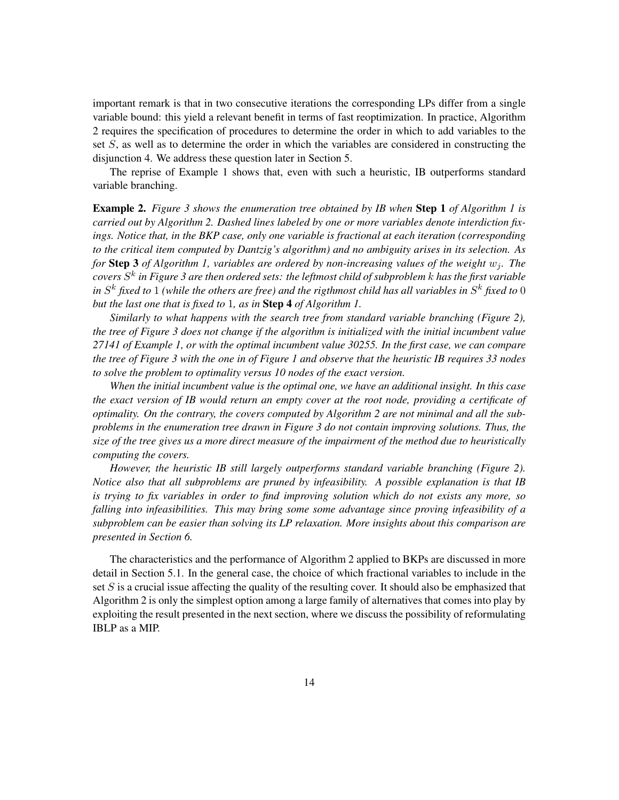important remark is that in two consecutive iterations the corresponding LPs differ from a single variable bound: this yield a relevant benefit in terms of fast reoptimization. In practice, Algorithm 2 requires the specification of procedures to determine the order in which to add variables to the set S, as well as to determine the order in which the variables are considered in constructing the disjunction 4. We address these question later in Section 5.

The reprise of Example 1 shows that, even with such a heuristic, IB outperforms standard variable branching.

Example 2. *Figure 3 shows the enumeration tree obtained by IB when* Step 1 *of Algorithm 1 is carried out by Algorithm 2. Dashed lines labeled by one or more variables denote interdiction fixings. Notice that, in the BKP case, only one variable is fractional at each iteration (corresponding to the critical item computed by Dantzig's algorithm) and no ambiguity arises in its selection. As for* **Step 3** *of Algorithm 1, variables are ordered by non-increasing values of the weight*  $w_i$ *. The covers* S k *in Figure 3 are then ordered sets: the leftmost child of subproblem* k *has the first variable* in  $S^k$  fixed to  $1$  (while the others are free) and the rigthmost child has all variables in  $S^k$  fixed to  $0$ *but the last one that is fixed to* 1*, as in* Step 4 *of Algorithm 1.*

*Similarly to what happens with the search tree from standard variable branching (Figure 2), the tree of Figure 3 does not change if the algorithm is initialized with the initial incumbent value 27141 of Example 1, or with the optimal incumbent value 30255. In the first case, we can compare the tree of Figure 3 with the one in of Figure 1 and observe that the heuristic IB requires 33 nodes to solve the problem to optimality versus 10 nodes of the exact version.*

*When the initial incumbent value is the optimal one, we have an additional insight. In this case the exact version of IB would return an empty cover at the root node, providing a certificate of optimality. On the contrary, the covers computed by Algorithm 2 are not minimal and all the subproblems in the enumeration tree drawn in Figure 3 do not contain improving solutions. Thus, the size of the tree gives us a more direct measure of the impairment of the method due to heuristically computing the covers.*

*However, the heuristic IB still largely outperforms standard variable branching (Figure 2). Notice also that all subproblems are pruned by infeasibility. A possible explanation is that IB is trying to fix variables in order to find improving solution which do not exists any more, so falling into infeasibilities. This may bring some some advantage since proving infeasibility of a subproblem can be easier than solving its LP relaxation. More insights about this comparison are presented in Section 6.*

The characteristics and the performance of Algorithm 2 applied to BKPs are discussed in more detail in Section 5.1. In the general case, the choice of which fractional variables to include in the set S is a crucial issue affecting the quality of the resulting cover. It should also be emphasized that Algorithm 2 is only the simplest option among a large family of alternatives that comes into play by exploiting the result presented in the next section, where we discuss the possibility of reformulating IBLP as a MIP.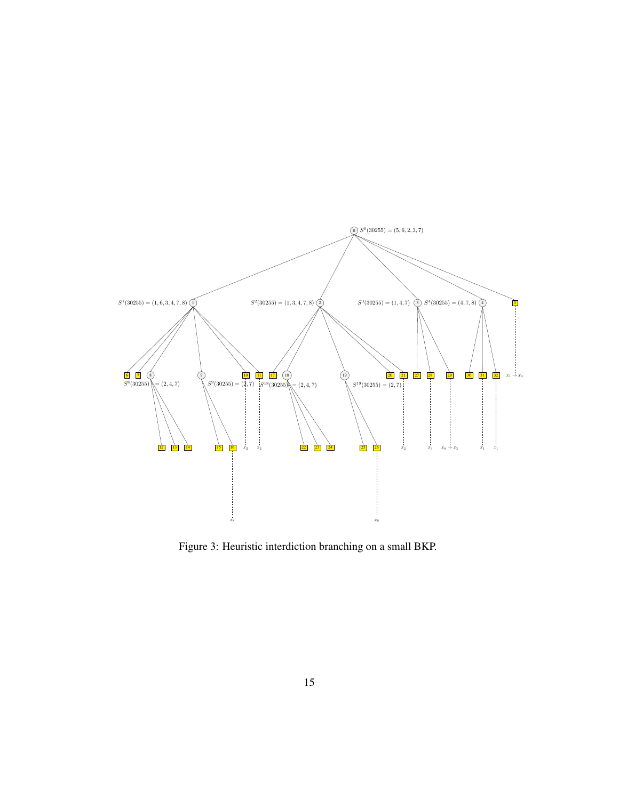

Figure 3: Heuristic interdiction branching on a small BKP.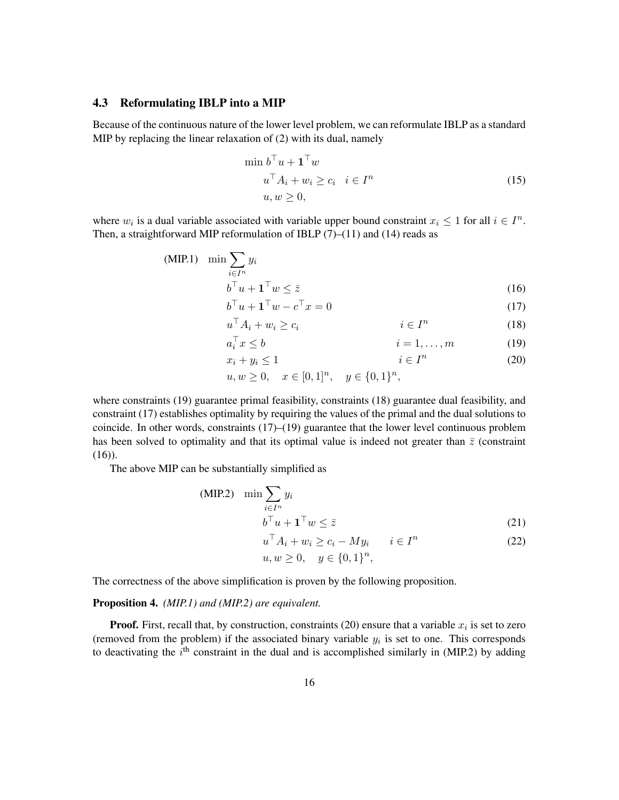#### 4.3 Reformulating IBLP into a MIP

Because of the continuous nature of the lower level problem, we can reformulate IBLP as a standard MIP by replacing the linear relaxation of (2) with its dual, namely

$$
\min b^{\top} u + \mathbf{1}^{\top} w
$$
  
\n
$$
u^{\top} A_i + w_i \ge c_i \quad i \in I^n
$$
  
\n
$$
u, w \ge 0,
$$
\n(15)

where  $w_i$  is a dual variable associated with variable upper bound constraint  $x_i \leq 1$  for all  $i \in I^n$ . Then, a straightforward MIP reformulation of IBLP  $(7)$ – $(11)$  and  $(14)$  reads as

(MIP.1) 
$$
\min \sum_{i \in I^n} y_i
$$

$$
b^\top u + \mathbf{1}^\top w \leq \bar{z}
$$
(16)

$$
b^{\top}u + \mathbf{1}^{\top}w - c^{\top}x = 0\tag{17}
$$

$$
u^{\top} A_i + w_i \ge c_i \qquad \qquad i \in I^n \tag{18}
$$

$$
a_i^{\top} x \le b \qquad \qquad i = 1, \dots, m \qquad \qquad (19)
$$

$$
x_i + y_i \le 1 \qquad \qquad i \in I^n \tag{20}
$$

$$
u, w \ge 0, \quad x \in [0, 1]^n, \quad y \in \{0, 1\}^n,
$$

where constraints (19) guarantee primal feasibility, constraints (18) guarantee dual feasibility, and constraint (17) establishes optimality by requiring the values of the primal and the dual solutions to coincide. In other words, constraints (17)–(19) guarantee that the lower level continuous problem has been solved to optimality and that its optimal value is indeed not greater than  $\bar{z}$  (constraint  $(16)$ ).

The above MIP can be substantially simplified as

(MIP.2) 
$$
\min \sum_{i \in I^n} y_i
$$

$$
b^\top u + \mathbf{1}^\top w \leq \bar{z}
$$
(21)

$$
u^{\top} A_i + w_i \ge c_i - M y_i \qquad i \in I^n \tag{22}
$$

$$
u, w \ge 0, \quad y \in \{0, 1\}^n,
$$

The correctness of the above simplification is proven by the following proposition.

#### Proposition 4. *(MIP.1) and (MIP.2) are equivalent.*

**Proof.** First, recall that, by construction, constraints (20) ensure that a variable  $x_i$  is set to zero (removed from the problem) if the associated binary variable  $y_i$  is set to one. This corresponds to deactivating the  $i<sup>th</sup>$  constraint in the dual and is accomplished similarly in (MIP.2) by adding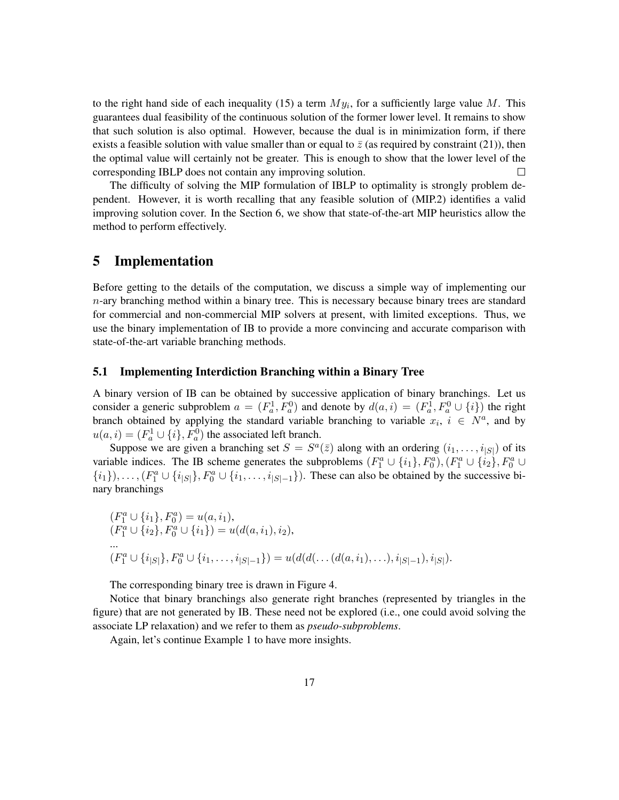to the right hand side of each inequality (15) a term  $My_i$ , for a sufficiently large value M. This guarantees dual feasibility of the continuous solution of the former lower level. It remains to show that such solution is also optimal. However, because the dual is in minimization form, if there exists a feasible solution with value smaller than or equal to  $\bar{z}$  (as required by constraint (21)), then the optimal value will certainly not be greater. This is enough to show that the lower level of the corresponding IBLP does not contain any improving solution.  $\Box$ 

The difficulty of solving the MIP formulation of IBLP to optimality is strongly problem dependent. However, it is worth recalling that any feasible solution of (MIP.2) identifies a valid improving solution cover. In the Section 6, we show that state-of-the-art MIP heuristics allow the method to perform effectively.

### 5 Implementation

Before getting to the details of the computation, we discuss a simple way of implementing our  $n$ -ary branching method within a binary tree. This is necessary because binary trees are standard for commercial and non-commercial MIP solvers at present, with limited exceptions. Thus, we use the binary implementation of IB to provide a more convincing and accurate comparison with state-of-the-art variable branching methods.

### 5.1 Implementing Interdiction Branching within a Binary Tree

A binary version of IB can be obtained by successive application of binary branchings. Let us consider a generic subproblem  $a = (F_a^1, F_a^0)$  and denote by  $d(a, i) = (F_a^1, F_a^0 \cup \{i\})$  the right branch obtained by applying the standard variable branching to variable  $x_i$ ,  $i \in N^a$ , and by  $u(a, i) = (F_a^1 \cup \{i\}, F_a^0)$  the associated left branch.

Suppose we are given a branching set  $S = S^a(\bar{z})$  along with an ordering  $(i_1, \ldots, i_{|S|})$  of its variable indices. The IB scheme generates the subproblems  $(F_1^a \cup \{i_1\}, F_0^a), (F_1^a \cup \{i_2\}, F_0^a \cup$  $\{i_1\}, \ldots, (F_1^a \cup \{i_{|S|}\}, F_0^a \cup \{i_1, \ldots, i_{|S|-1}\})$ . These can also be obtained by the successive binary branchings

$$
(F_1^a \cup \{i_1\}, F_0^a) = u(a, i_1),
$$
  
\n
$$
(F_1^a \cup \{i_2\}, F_0^a \cup \{i_1\}) = u(d(a, i_1), i_2),
$$
  
\n...  
\n
$$
(F_1^a \cup \{i_{|S|}\}, F_0^a \cup \{i_1, \ldots, i_{|S|-1}\}) = u(d(d(\ldots (d(a, i_1), \ldots), i_{|S|-1}), i_{|S|}).
$$

The corresponding binary tree is drawn in Figure 4.

Notice that binary branchings also generate right branches (represented by triangles in the figure) that are not generated by IB. These need not be explored (i.e., one could avoid solving the associate LP relaxation) and we refer to them as *pseudo-subproblems*.

Again, let's continue Example 1 to have more insights.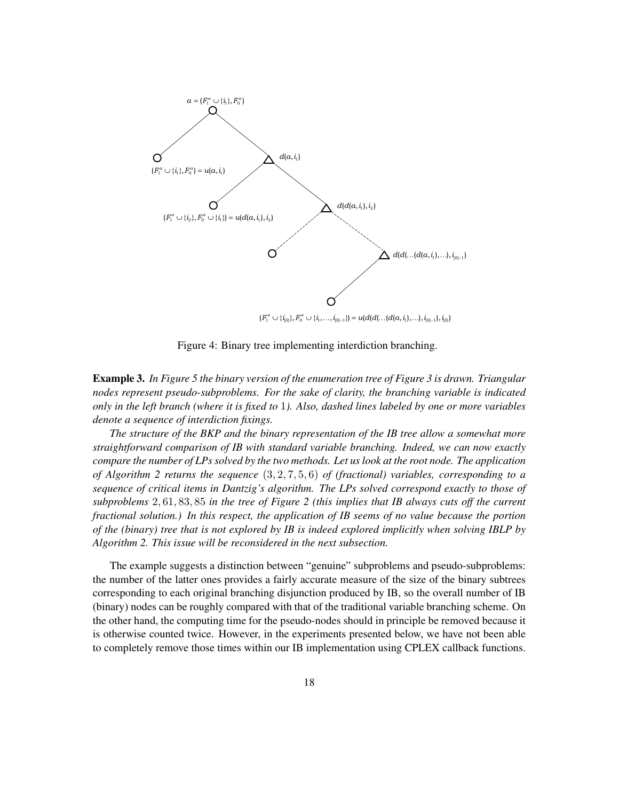

Figure 4: Binary tree implementing interdiction branching.

Example 3. *In Figure 5 the binary version of the enumeration tree of Figure 3 is drawn. Triangular nodes represent pseudo-subproblems. For the sake of clarity, the branching variable is indicated only in the left branch (where it is fixed to* 1*). Also, dashed lines labeled by one or more variables denote a sequence of interdiction fixings.*

*The structure of the BKP and the binary representation of the IB tree allow a somewhat more straightforward comparison of IB with standard variable branching. Indeed, we can now exactly compare the number of LPs solved by the two methods. Let us look at the root node. The application of Algorithm 2 returns the sequence* (3, 2, 7, 5, 6) *of (fractional) variables, corresponding to a sequence of critical items in Dantzig's algorithm. The LPs solved correspond exactly to those of subproblems* 2, 61, 83, 85 *in the tree of Figure 2 (this implies that IB always cuts off the current fractional solution.) In this respect, the application of IB seems of no value because the portion of the (binary) tree that is not explored by IB is indeed explored implicitly when solving IBLP by Algorithm 2. This issue will be reconsidered in the next subsection.*

The example suggests a distinction between "genuine" subproblems and pseudo-subproblems: the number of the latter ones provides a fairly accurate measure of the size of the binary subtrees corresponding to each original branching disjunction produced by IB, so the overall number of IB (binary) nodes can be roughly compared with that of the traditional variable branching scheme. On the other hand, the computing time for the pseudo-nodes should in principle be removed because it is otherwise counted twice. However, in the experiments presented below, we have not been able to completely remove those times within our IB implementation using CPLEX callback functions.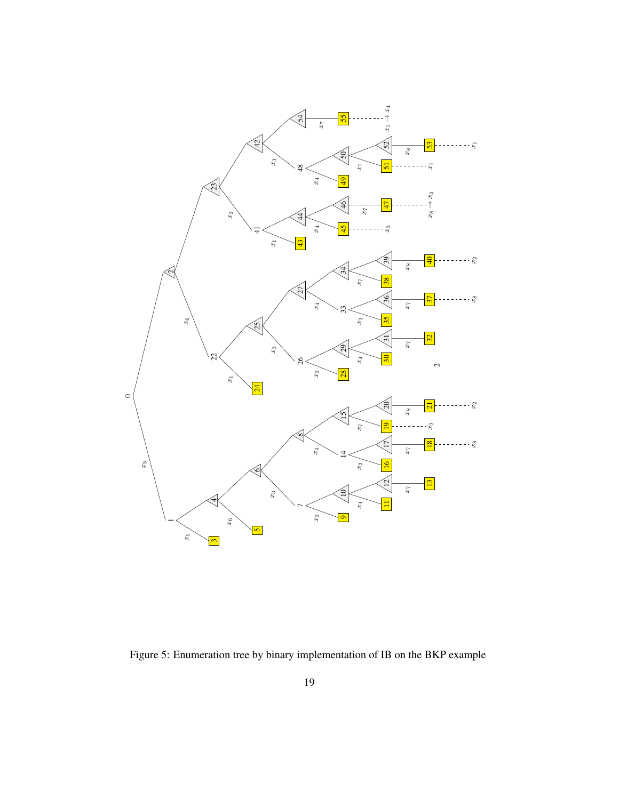

Figure 5: Enumeration tree by binary implementation of IB on the BKP example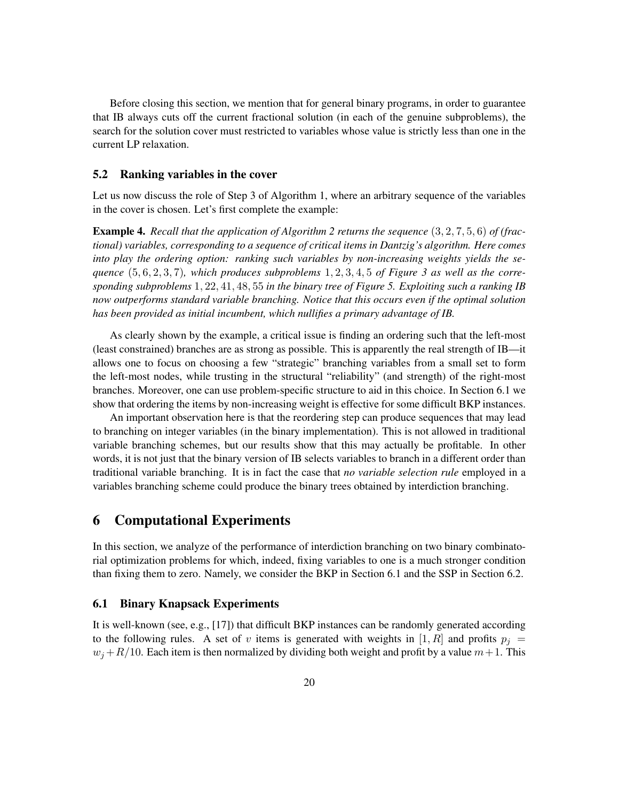Before closing this section, we mention that for general binary programs, in order to guarantee that IB always cuts off the current fractional solution (in each of the genuine subproblems), the search for the solution cover must restricted to variables whose value is strictly less than one in the current LP relaxation.

#### 5.2 Ranking variables in the cover

Let us now discuss the role of Step 3 of Algorithm 1, where an arbitrary sequence of the variables in the cover is chosen. Let's first complete the example:

Example 4. *Recall that the application of Algorithm 2 returns the sequence* (3, 2, 7, 5, 6) *of (fractional) variables, corresponding to a sequence of critical items in Dantzig's algorithm. Here comes into play the ordering option: ranking such variables by non-increasing weights yields the sequence* (5, 6, 2, 3, 7)*, which produces subproblems* 1, 2, 3, 4, 5 *of Figure 3 as well as the corresponding subproblems* 1, 22, 41, 48, 55 *in the binary tree of Figure 5. Exploiting such a ranking IB now outperforms standard variable branching. Notice that this occurs even if the optimal solution has been provided as initial incumbent, which nullifies a primary advantage of IB.*

As clearly shown by the example, a critical issue is finding an ordering such that the left-most (least constrained) branches are as strong as possible. This is apparently the real strength of IB—it allows one to focus on choosing a few "strategic" branching variables from a small set to form the left-most nodes, while trusting in the structural "reliability" (and strength) of the right-most branches. Moreover, one can use problem-specific structure to aid in this choice. In Section 6.1 we show that ordering the items by non-increasing weight is effective for some difficult BKP instances.

An important observation here is that the reordering step can produce sequences that may lead to branching on integer variables (in the binary implementation). This is not allowed in traditional variable branching schemes, but our results show that this may actually be profitable. In other words, it is not just that the binary version of IB selects variables to branch in a different order than traditional variable branching. It is in fact the case that *no variable selection rule* employed in a variables branching scheme could produce the binary trees obtained by interdiction branching.

### 6 Computational Experiments

In this section, we analyze of the performance of interdiction branching on two binary combinatorial optimization problems for which, indeed, fixing variables to one is a much stronger condition than fixing them to zero. Namely, we consider the BKP in Section 6.1 and the SSP in Section 6.2.

#### 6.1 Binary Knapsack Experiments

It is well-known (see, e.g., [17]) that difficult BKP instances can be randomly generated according to the following rules. A set of v items is generated with weights in [1, R] and profits  $p_i =$  $w_i + R/10$ . Each item is then normalized by dividing both weight and profit by a value  $m+1$ . This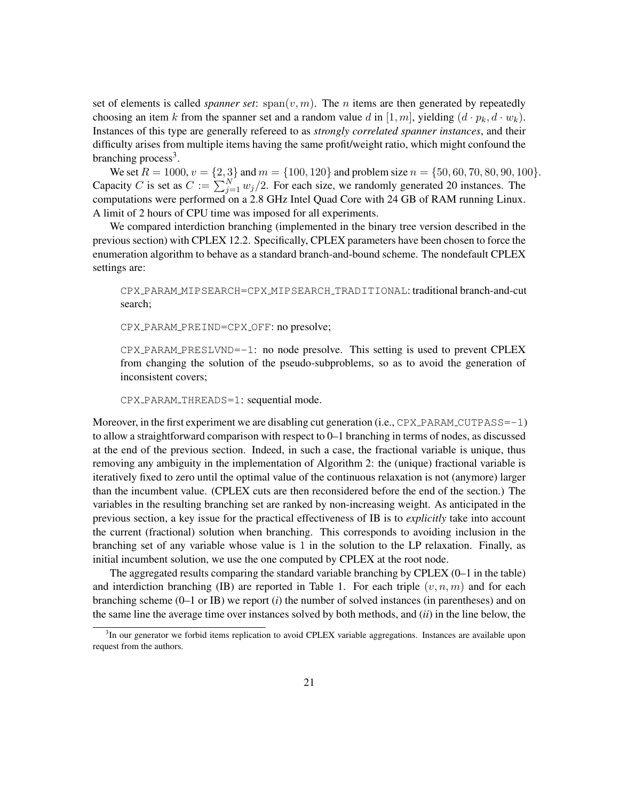set of elements is called *spanner set*:  $\text{span}(v, m)$ . The *n* items are then generated by repeatedly choosing an item k from the spanner set and a random value d in [1, m], yielding  $(d \cdot p_k, d \cdot w_k)$ . Instances of this type are generally refereed to as *strongly correlated spanner instances*, and their difficulty arises from multiple items having the same profit/weight ratio, which might confound the branching process<sup>3</sup>.

We set  $R = 1000$ ,  $v = \{2, 3\}$  and  $m = \{100, 120\}$  and problem size  $n = \{50, 60, 70, 80, 90, 100\}$ . Capacity C is set as  $C := \sum_{j=1}^{N} w_j/2$ . For each size, we randomly generated 20 instances. The computations were performed on a 2.8 GHz Intel Quad Core with 24 GB of RAM running Linux. A limit of 2 hours of CPU time was imposed for all experiments.

We compared interdiction branching (implemented in the binary tree version described in the previous section) with CPLEX 12.2. Specifically, CPLEX parameters have been chosen to force the enumeration algorithm to behave as a standard branch-and-bound scheme. The nondefault CPLEX settings are:

CPX PARAM MIPSEARCH=CPX MIPSEARCH TRADITIONAL: traditional branch-and-cut search;

CPX PARAM PREIND=CPX OFF: no presolve;

 $CPX$  PARAM PRESLVND= $-1$ : no node presolve. This setting is used to prevent CPLEX from changing the solution of the pseudo-subproblems, so as to avoid the generation of inconsistent covers;

CPX\_PARAM\_THREADS=1: sequential mode.

Moreover, in the first experiment we are disabling cut generation (i.e.,  $CPX$ -PARAM CUTPASS=-1) to allow a straightforward comparison with respect to 0–1 branching in terms of nodes, as discussed at the end of the previous section. Indeed, in such a case, the fractional variable is unique, thus removing any ambiguity in the implementation of Algorithm 2: the (unique) fractional variable is iteratively fixed to zero until the optimal value of the continuous relaxation is not (anymore) larger than the incumbent value. (CPLEX cuts are then reconsidered before the end of the section.) The variables in the resulting branching set are ranked by non-increasing weight. As anticipated in the previous section, a key issue for the practical effectiveness of IB is to *explicitly* take into account the current (fractional) solution when branching. This corresponds to avoiding inclusion in the branching set of any variable whose value is 1 in the solution to the LP relaxation. Finally, as initial incumbent solution, we use the one computed by CPLEX at the root node.

The aggregated results comparing the standard variable branching by CPLEX (0–1 in the table) and interdiction branching (IB) are reported in Table 1. For each triple  $(v, n, m)$  and for each branching scheme (0–1 or IB) we report (*i*) the number of solved instances (in parentheses) and on the same line the average time over instances solved by both methods, and (*ii*) in the line below, the

<sup>&</sup>lt;sup>3</sup>In our generator we forbid items replication to avoid CPLEX variable aggregations. Instances are available upon request from the authors.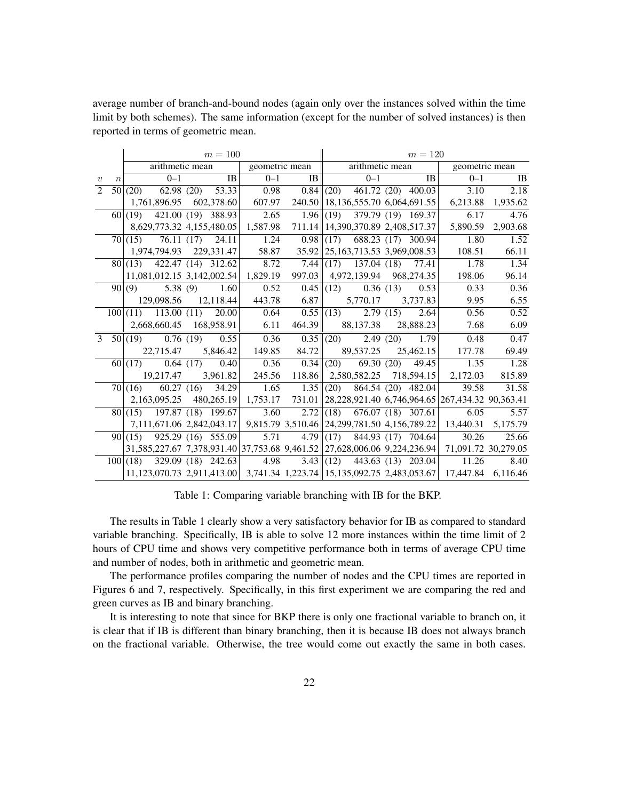average number of branch-and-bound nodes (again only over the instances solved within the time limit by both schemes). The same information (except for the number of solved instances) is then reported in terms of geometric mean.

|                  |                  | $m = 100$ |                             |  |                  |                                                                          |                               |  | $m = 120$                             |  |           |                                                                                            |                   |  |
|------------------|------------------|-----------|-----------------------------|--|------------------|--------------------------------------------------------------------------|-------------------------------|--|---------------------------------------|--|-----------|--------------------------------------------------------------------------------------------|-------------------|--|
|                  |                  |           | arithmetic mean             |  |                  | geometric mean    arithmetic mean                                        |                               |  |                                       |  |           |                                                                                            | geometric mean    |  |
| $\boldsymbol{v}$ | $\boldsymbol{n}$ |           | $0 - 1$                     |  | $\overline{AB}$  | $0 - 1$                                                                  | $\  \mathbf{B} \ $            |  | $0 - 1$                               |  | <b>IB</b> | $0 - 1$                                                                                    | IB                |  |
| 2                |                  |           | $50(20)$ 62.98 (20) 53.33   |  |                  | 0.98                                                                     |                               |  | $0.84$ (20) 461.72 (20) 400.03        |  |           | 3.10                                                                                       | 2.18              |  |
|                  |                  |           | 1,761,896.95 602,378.60     |  |                  | 607.97                                                                   |                               |  | 240.50   18,136,555.70 6,064,691.55   |  |           |                                                                                            | 6,213.88 1,935.62 |  |
|                  |                  |           | $60(19)$ 421.00 (19) 388.93 |  |                  | 2.65                                                                     |                               |  | $1.96$ (19) 379.79 (19) 169.37        |  |           | 6.17                                                                                       | 4.76              |  |
|                  |                  |           | 8,629,773.32 4,155,480.05   |  |                  | 1,587.98                                                                 |                               |  | 711.14 14, 390, 370.89 2, 408, 517.37 |  |           | 5,890.59                                                                                   | 2,903.68          |  |
|                  |                  |           | $70 (15)$ 76.11 (17) 24.11  |  |                  | 1.24                                                                     |                               |  | $0.98$ (17) 688.23 (17) 300.94        |  |           | 1.80                                                                                       | 1.52              |  |
|                  |                  |           | 1,974,794.93 229,331.47     |  |                  | 58.87                                                                    |                               |  | 35.92 25, 163, 713.53 3, 969, 008.53  |  |           | 108.51                                                                                     | 66.11             |  |
|                  |                  |           | $80(13)$ 422.47 (14) 312.62 |  |                  | 8.72                                                                     |                               |  | $7.44$ (17) 137.04 (18) 77.41         |  |           | 1.78                                                                                       | 1.34              |  |
|                  |                  |           | 11,081,012.15 3,142,002.54  |  |                  | 1,829.19                                                                 |                               |  | 997.03 4,972,139.94 968,274.35        |  |           | 198.06                                                                                     | 96.14             |  |
|                  |                  | 90(9)     |                             |  | $5.38(9)$ $1.60$ | 0.52                                                                     |                               |  | $0.45 \ (12)$ $0.36 \n(13)$           |  | 0.53      | 0.33                                                                                       | 0.36              |  |
|                  |                  |           | 129,098.56 12,118.44        |  |                  |                                                                          | 443.78 6.87 5,770.17 3,737.83 |  |                                       |  |           | 9.95                                                                                       | 6.55              |  |
|                  |                  |           | $100(11)$ 113.00 (11) 20.00 |  |                  | 0.64                                                                     |                               |  | $0.55 \ (13)$ 2.79 (15) 2.64          |  |           | 0.56                                                                                       | 0.52              |  |
|                  |                  |           | 2,668,660.45 168,958.91     |  |                  | 6.11                                                                     |                               |  | 464.39 88,137.38 28,888.23            |  |           | 7.68                                                                                       | 6.09              |  |
| $\mathcal{E}$    |                  |           | $50 (19)$ 0.76 (19) 0.55    |  |                  | 0.36                                                                     |                               |  | $0.35 \ (20)$ 2.49 (20) 1.79          |  |           | 0.48                                                                                       | 0.47              |  |
|                  |                  |           | 22,715.47 5,846.42          |  |                  | 149.85                                                                   | 84.72                         |  | 89,537.25                             |  | 25,462.15 | 177.78                                                                                     | 69.49             |  |
|                  |                  |           | $60(17)$ 0.64 (17) 0.40     |  |                  | 0.36                                                                     |                               |  | $0.34$ (20) 69.30 (20) 49.45          |  |           | 1.35                                                                                       | 1.28              |  |
|                  |                  |           | $19,217.47$ 3,961.82        |  |                  | 245.56                                                                   |                               |  | 118.86 2,580,582.25 718,594.15        |  |           | 2,172.03                                                                                   | 815.89            |  |
|                  |                  |           | $70 (16)$ 60.27 (16) 34.29  |  |                  | 1.65                                                                     |                               |  | $1.35$ (20) 864.54 (20) 482.04        |  |           | 39.58                                                                                      | 31.58             |  |
|                  |                  |           | 2,163,095.25 480,265.19     |  |                  | 1,753.17                                                                 |                               |  |                                       |  |           | 731.01 28,228,921.40 6,746,964.65 267,434.32 90,363.41                                     |                   |  |
|                  |                  |           | $80(15)$ 197.87 (18) 199.67 |  |                  | 3.60                                                                     |                               |  | $2.72$ (18) 676.07 (18) 307.61        |  |           | 6.05                                                                                       | 5.57              |  |
|                  |                  |           |                             |  |                  | 7,111,671.06 2,842,043.17 9,815.79 3,510.46 24,299,781.50 4,156,789.22   |                               |  |                                       |  |           | 13,440.31 5,175.79                                                                         |                   |  |
|                  |                  |           |                             |  |                  | $90 (15)$ $925.29(16)$ $555.09$ 5.71                                     |                               |  | $4.79$ (17) $844.93$ (17) $704.64$    |  |           | 30.26                                                                                      | 25.66             |  |
|                  |                  |           |                             |  |                  | 31,585,227.67 7,378,931.40 37,753.68 9,461.52 27,628,006.06 9,224,236.94 |                               |  |                                       |  |           | 71,091.72 30,279.05                                                                        |                   |  |
|                  |                  |           |                             |  |                  | $100 (18)$ 329.09 (18) 242.63 4.98 3.43 (12) 443.63 (13) 203.04          |                               |  |                                       |  |           | 11.26                                                                                      | 8.40              |  |
|                  |                  |           |                             |  |                  |                                                                          |                               |  |                                       |  |           | 11,123,070.73 2,911,413.00 3,741.34 1,223.74 15,135,092.75 2,483,053.67 17,447.84 6,116.46 |                   |  |
|                  |                  |           |                             |  |                  |                                                                          |                               |  |                                       |  |           |                                                                                            |                   |  |

Table 1: Comparing variable branching with IB for the BKP.

The results in Table 1 clearly show a very satisfactory behavior for IB as compared to standard variable branching. Specifically, IB is able to solve 12 more instances within the time limit of 2 hours of CPU time and shows very competitive performance both in terms of average CPU time and number of nodes, both in arithmetic and geometric mean.

The performance profiles comparing the number of nodes and the CPU times are reported in Figures 6 and 7, respectively. Specifically, in this first experiment we are comparing the red and green curves as IB and binary branching.

It is interesting to note that since for BKP there is only one fractional variable to branch on, it is clear that if IB is different than binary branching, then it is because IB does not always branch on the fractional variable. Otherwise, the tree would come out exactly the same in both cases.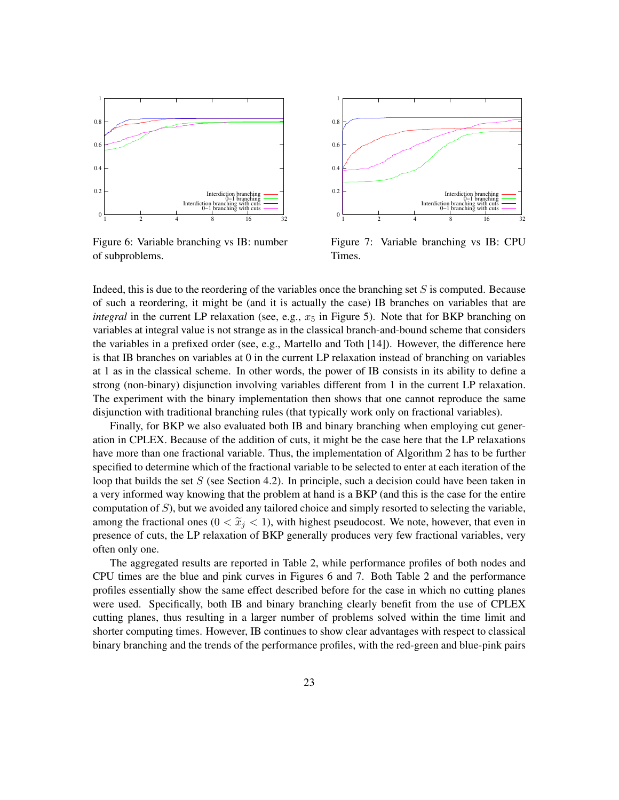

Figure 6: Variable branching vs IB: number of subproblems.



Figure 7: Variable branching vs IB: CPU Times.

Indeed, this is due to the reordering of the variables once the branching set  $S$  is computed. Because of such a reordering, it might be (and it is actually the case) IB branches on variables that are *integral* in the current LP relaxation (see, e.g.,  $x<sub>5</sub>$  in Figure 5). Note that for BKP branching on variables at integral value is not strange as in the classical branch-and-bound scheme that considers the variables in a prefixed order (see, e.g., Martello and Toth [14]). However, the difference here is that IB branches on variables at 0 in the current LP relaxation instead of branching on variables at 1 as in the classical scheme. In other words, the power of IB consists in its ability to define a strong (non-binary) disjunction involving variables different from 1 in the current LP relaxation. The experiment with the binary implementation then shows that one cannot reproduce the same disjunction with traditional branching rules (that typically work only on fractional variables).

Finally, for BKP we also evaluated both IB and binary branching when employing cut generation in CPLEX. Because of the addition of cuts, it might be the case here that the LP relaxations have more than one fractional variable. Thus, the implementation of Algorithm 2 has to be further specified to determine which of the fractional variable to be selected to enter at each iteration of the loop that builds the set  $S$  (see Section 4.2). In principle, such a decision could have been taken in a very informed way knowing that the problem at hand is a BKP (and this is the case for the entire computation of S), but we avoided any tailored choice and simply resorted to selecting the variable, among the fractional ones ( $0 < \tilde{x}_i < 1$ ), with highest pseudocost. We note, however, that even in presence of cuts, the LP relaxation of BKP generally produces very few fractional variables, very often only one.

The aggregated results are reported in Table 2, while performance profiles of both nodes and CPU times are the blue and pink curves in Figures 6 and 7. Both Table 2 and the performance profiles essentially show the same effect described before for the case in which no cutting planes were used. Specifically, both IB and binary branching clearly benefit from the use of CPLEX cutting planes, thus resulting in a larger number of problems solved within the time limit and shorter computing times. However, IB continues to show clear advantages with respect to classical binary branching and the trends of the performance profiles, with the red-green and blue-pink pairs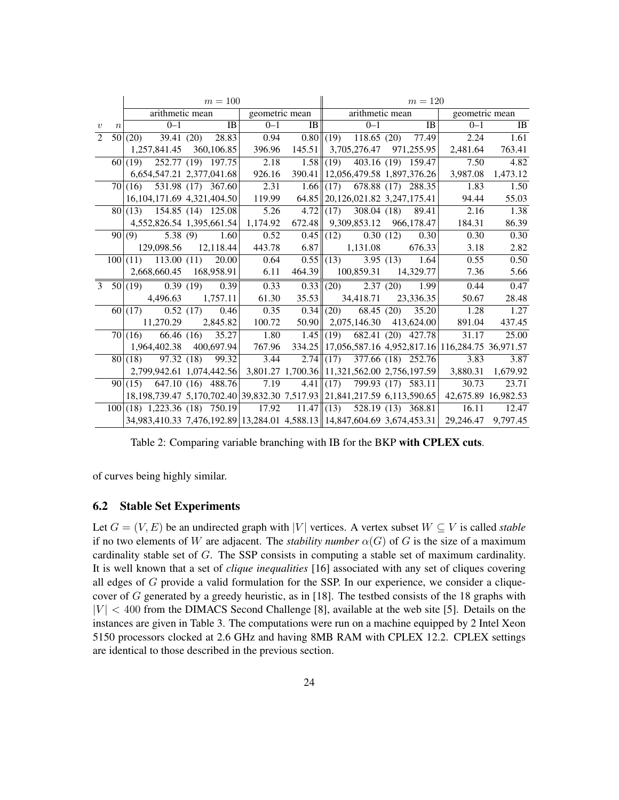|                             |                  | $m = 100$ |                                |  |      |                                                                                          |                |                 | $m = 120$                            |  |                  |                                                        |                   |  |
|-----------------------------|------------------|-----------|--------------------------------|--|------|------------------------------------------------------------------------------------------|----------------|-----------------|--------------------------------------|--|------------------|--------------------------------------------------------|-------------------|--|
|                             |                  |           | arithmetic mean                |  |      |                                                                                          | geometric mean | arithmetic mean |                                      |  |                  | geometric mean                                         |                   |  |
| $\boldsymbol{v}$            | $\boldsymbol{n}$ |           | $0 - 1$                        |  | IB   | $0 - 1$                                                                                  | IB             |                 | $0 - 1$                              |  | <b>IB</b>        | $0 - 1$                                                | <b>IB</b>         |  |
| $\mathcal{D}_{\mathcal{L}}$ |                  |           | $50(20)$ 39.41 (20) 28.83      |  |      | 0.94                                                                                     |                |                 | $0.80$ (19) 118.65 (20) 77.49        |  |                  | 2.24                                                   | 1.61              |  |
|                             |                  |           | 1,257,841.45 360,106.85        |  |      | 396.96                                                                                   |                |                 | 145.51 3,705,276.47 971,255.95       |  |                  | 2,481.64                                               | 763.41            |  |
|                             |                  |           | $60(19)$ 252.77 (19) 197.75    |  |      | 2.18                                                                                     |                |                 | $1.58$ (19) $403.16$ (19) 159.47     |  |                  | 7.50                                                   | 4.82              |  |
|                             |                  |           | 6,654,547.21 2,377,041.68      |  |      | 926.16                                                                                   |                |                 | 390.41   12,056,479.58 1,897,376.26  |  |                  |                                                        | 3,987.08 1,473.12 |  |
|                             |                  |           | $70(16)$ 531.98 (17) 367.60    |  |      | 2.31                                                                                     |                |                 | $1.66$ (17) 678.88 (17) 288.35       |  |                  | 1.83                                                   | 1.50              |  |
|                             |                  |           | 16, 104, 171.69 4, 321, 404.50 |  |      | 119.99                                                                                   |                |                 | 64.85 20, 126, 021.82 3, 247, 175.41 |  |                  | 94.44                                                  | 55.03             |  |
|                             |                  |           | $80(13)$ 154.85 (14) 125.08    |  |      | 5.26                                                                                     |                |                 | $4.72$ (17) $308.04$ (18)            |  | 89.41            | 2.16                                                   | 1.38              |  |
|                             |                  |           | 4,552,826.54 1,395,661.54      |  |      | 1,174.92                                                                                 |                |                 | 672.48   9,309,853.12 966,178.47     |  |                  | 184.31                                                 | 86.39             |  |
|                             |                  |           | $90(9)$ 5.38 (9) 1.60          |  |      | 0.52                                                                                     |                |                 | $0.45 \ (12)$ $0.30 \n(12)$          |  | 0.30             | 0.30                                                   | 0.30              |  |
|                             |                  |           | 129,098.56 12,118.44           |  |      | 443.78                                                                                   | 6.87           |                 | 1,131.08                             |  | 676.33           | 3.18                                                   | 2.82              |  |
|                             |                  |           | $100 (11)$ 113.00 (11) 20.00   |  |      | 0.64                                                                                     |                | $0.55$ (13)     |                                      |  | 3.95 $(13)$ 1.64 | 0.55                                                   | 0.50              |  |
|                             |                  |           | 2,668,660.45 168,958.91        |  |      | 6.11                                                                                     |                |                 | 464.39 100,859.31 14,329.77          |  |                  | 7.36                                                   | 5.66              |  |
| $\mathcal{E}$               |                  | 50(19)    | 0.39(19)                       |  | 0.39 | 0.33                                                                                     |                | $0.33$ (20)     | $\overline{2.37}$ (20)               |  | 1.99             | 0.44                                                   | 0.47              |  |
|                             |                  |           | 4,496.63 1,757.11              |  |      | 61.30                                                                                    |                |                 | $35.53$ $34,418.71$ $23,336.35$      |  |                  | 50.67                                                  | 28.48             |  |
|                             |                  | 60(17)    | 0.52(17)                       |  | 0.46 | 0.35                                                                                     | 0.34           |                 | $(20)$ 68.45 (20)                    |  | 35.20            | 1.28                                                   | 1.27              |  |
|                             |                  |           | 11,270.29 2,845.82             |  |      | 100.72                                                                                   |                |                 | $50.90$   2,075,146.30 413,624.00    |  |                  | 891.04                                                 | 437.45            |  |
|                             |                  |           | $70 (16)$ 66.46 (16) 35.27     |  |      | 1.80                                                                                     |                |                 | $1.45$ (19) 682.41 (20) 427.78       |  |                  | 31.17                                                  | 25.00             |  |
|                             |                  |           | 1,964,402.38 400,697.94        |  |      | 767.96                                                                                   |                |                 |                                      |  |                  | 334.25 17,056,587.16 4,952,817.16 116,284.75 36,971.57 |                   |  |
|                             |                  |           | $80(18)$ 97.32 (18) 99.32      |  |      | 3.44                                                                                     |                |                 | $2.74$ (17) 377.66 (18) 252.76       |  |                  | 3.83                                                   | 3.87              |  |
|                             |                  |           | 2,799,942.61 1,074,442.56      |  |      | 3,801.27 1,700.36 11,321,562.00 2,756,197.59                                             |                |                 |                                      |  |                  |                                                        | 3,880.31 1,679.92 |  |
|                             |                  |           | $90(15)$ 647.10 (16) 488.76    |  |      | 7.19                                                                                     |                |                 | $4.41$ (17) 799.93 (17) 583.11       |  |                  | 30.73                                                  | 23.71             |  |
|                             |                  |           |                                |  |      | 18, 198, 739. 47 5, 170, 702. 40 39, 832. 30 7, 517. 93 21, 841, 217. 59 6, 113, 590. 65 |                |                 |                                      |  |                  | 42,675.89 16,982.53                                    |                   |  |
|                             |                  |           |                                |  |      | $100 (18)$ 1,223.36 (18) 750.19 17.92 11.47 (13) 528.19 (13) 368.81                      |                |                 |                                      |  |                  | 16.11                                                  | 12.47             |  |
|                             |                  |           |                                |  |      | 34,983,410.33 7,476,192.89 13,284.01 4,588.13 14,847,604.69 3,674,453.31                 |                |                 |                                      |  |                  | 29,246.47 9,797.45                                     |                   |  |

Table 2: Comparing variable branching with IB for the BKP with CPLEX cuts.

of curves being highly similar.

#### 6.2 Stable Set Experiments

Let  $G = (V, E)$  be an undirected graph with |V| vertices. A vertex subset  $W \subseteq V$  is called *stable* if no two elements of W are adjacent. The *stability number*  $\alpha(G)$  of G is the size of a maximum cardinality stable set of G. The SSP consists in computing a stable set of maximum cardinality. It is well known that a set of *clique inequalities* [16] associated with any set of cliques covering all edges of  $G$  provide a valid formulation for the SSP. In our experience, we consider a cliquecover of G generated by a greedy heuristic, as in [18]. The testbed consists of the 18 graphs with  $|V|$  < 400 from the DIMACS Second Challenge [8], available at the web site [5]. Details on the instances are given in Table 3. The computations were run on a machine equipped by 2 Intel Xeon 5150 processors clocked at 2.6 GHz and having 8MB RAM with CPLEX 12.2. CPLEX settings are identical to those described in the previous section.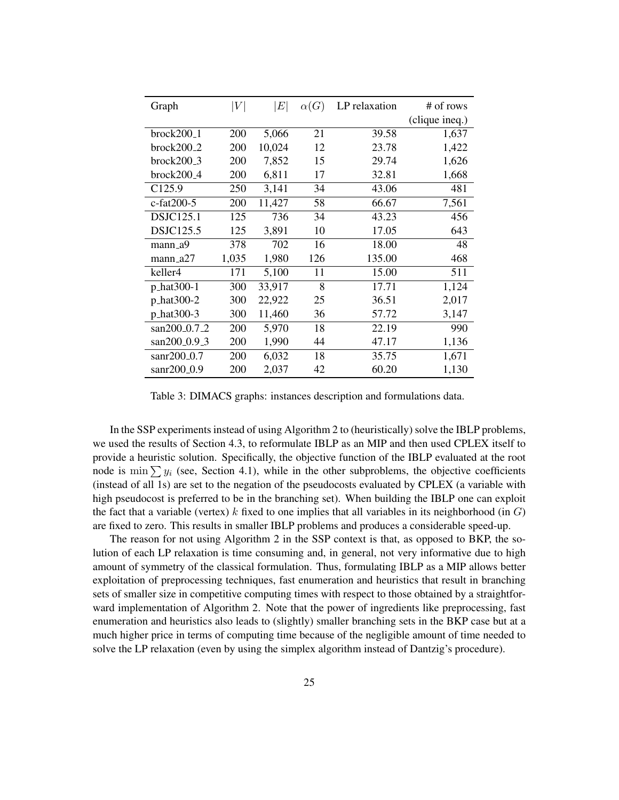| Graph                  | $\left V\right $ | E      | $\alpha(G)$ | LP relaxation | # of rows      |
|------------------------|------------------|--------|-------------|---------------|----------------|
|                        |                  |        |             |               | (clique ineq.) |
| brock200 <sub>-1</sub> | 200              | 5,066  | 21          | 39.58         | 1,637          |
| brock200 <sub>-2</sub> | 200              | 10,024 | 12          | 23.78         | 1,422          |
| $brock200_3$           | 200              | 7,852  | 15          | 29.74         | 1,626          |
| brock200 <sub>-4</sub> | 200              | 6,811  | 17          | 32.81         | 1,668          |
| C <sub>125.9</sub>     | 250              | 3,141  | 34          | 43.06         | 481            |
| c-fat200-5             | 200              | 11,427 | 58          | 66.67         | 7,561          |
| <b>DSJC125.1</b>       | 125              | 736    | 34          | 43.23         | 456            |
| <b>DSJC125.5</b>       | 125              | 3,891  | 10          | 17.05         | 643            |
| mann_a9                | 378              | 702    | 16          | 18.00         | 48             |
| $mann_a27$             | 1,035            | 1,980  | 126         | 135.00        | 468            |
| keller4                | 171              | 5,100  | 11          | 15.00         | 511            |
| p_hat300-1             | 300              | 33,917 | 8           | 17.71         | 1,124          |
| p_hat300-2             | 300              | 22,922 | 25          | 36.51         | 2,017          |
| p_hat300-3             | 300              | 11,460 | 36          | 57.72         | 3,147          |
| san200_0.7_2           | 200              | 5,970  | 18          | 22.19         | 990            |
| san200_0.9_3           | 200              | 1,990  | 44          | 47.17         | 1,136          |
| $san200_0.7$           | 200              | 6,032  | 18          | 35.75         | 1,671          |
| sanr200_0.9            | 200              | 2,037  | 42          | 60.20         | 1,130          |

Table 3: DIMACS graphs: instances description and formulations data.

In the SSP experiments instead of using Algorithm 2 to (heuristically) solve the IBLP problems, we used the results of Section 4.3, to reformulate IBLP as an MIP and then used CPLEX itself to provide a heuristic solution. Specifically, the objective function of the IBLP evaluated at the root node is min  $\sum y_i$  (see, Section 4.1), while in the other subproblems, the objective coefficients (instead of all 1s) are set to the negation of the pseudocosts evaluated by CPLEX (a variable with high pseudocost is preferred to be in the branching set). When building the IBLP one can exploit the fact that a variable (vertex) k fixed to one implies that all variables in its neighborhood (in  $G$ ) are fixed to zero. This results in smaller IBLP problems and produces a considerable speed-up.

The reason for not using Algorithm 2 in the SSP context is that, as opposed to BKP, the solution of each LP relaxation is time consuming and, in general, not very informative due to high amount of symmetry of the classical formulation. Thus, formulating IBLP as a MIP allows better exploitation of preprocessing techniques, fast enumeration and heuristics that result in branching sets of smaller size in competitive computing times with respect to those obtained by a straightforward implementation of Algorithm 2. Note that the power of ingredients like preprocessing, fast enumeration and heuristics also leads to (slightly) smaller branching sets in the BKP case but at a much higher price in terms of computing time because of the negligible amount of time needed to solve the LP relaxation (even by using the simplex algorithm instead of Dantzig's procedure).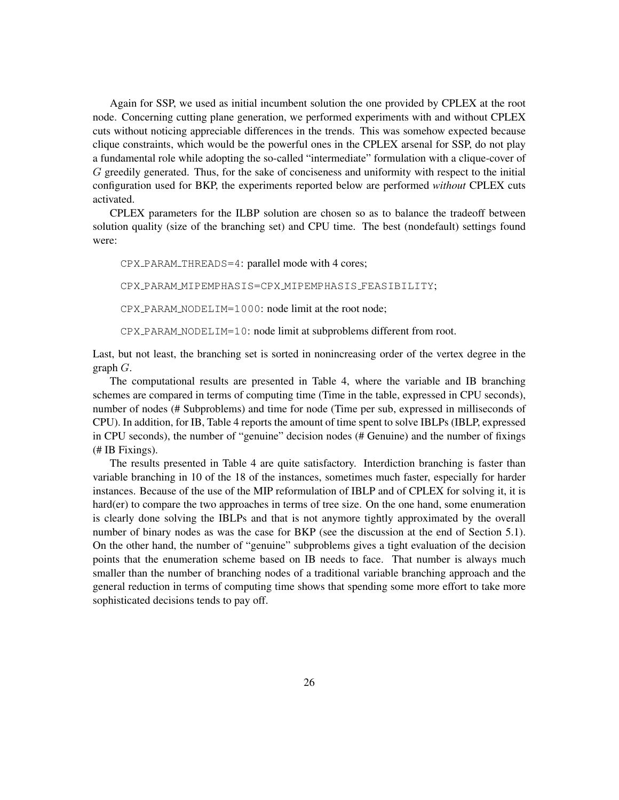Again for SSP, we used as initial incumbent solution the one provided by CPLEX at the root node. Concerning cutting plane generation, we performed experiments with and without CPLEX cuts without noticing appreciable differences in the trends. This was somehow expected because clique constraints, which would be the powerful ones in the CPLEX arsenal for SSP, do not play a fundamental role while adopting the so-called "intermediate" formulation with a clique-cover of G greedily generated. Thus, for the sake of conciseness and uniformity with respect to the initial configuration used for BKP, the experiments reported below are performed *without* CPLEX cuts activated.

CPLEX parameters for the ILBP solution are chosen so as to balance the tradeoff between solution quality (size of the branching set) and CPU time. The best (nondefault) settings found were:

CPX PARAM THREADS=4: parallel mode with 4 cores;

CPX PARAM MIPEMPHASIS=CPX MIPEMPHASIS FEASIBILITY;

CPX PARAM NODELIM=1000: node limit at the root node;

CPX PARAM NODELIM=10: node limit at subproblems different from root.

Last, but not least, the branching set is sorted in nonincreasing order of the vertex degree in the graph G.

The computational results are presented in Table 4, where the variable and IB branching schemes are compared in terms of computing time (Time in the table, expressed in CPU seconds), number of nodes (# Subproblems) and time for node (Time per sub, expressed in milliseconds of CPU). In addition, for IB, Table 4 reports the amount of time spent to solve IBLPs (IBLP, expressed in CPU seconds), the number of "genuine" decision nodes (# Genuine) and the number of fixings (# IB Fixings).

The results presented in Table 4 are quite satisfactory. Interdiction branching is faster than variable branching in 10 of the 18 of the instances, sometimes much faster, especially for harder instances. Because of the use of the MIP reformulation of IBLP and of CPLEX for solving it, it is hard(er) to compare the two approaches in terms of tree size. On the one hand, some enumeration is clearly done solving the IBLPs and that is not anymore tightly approximated by the overall number of binary nodes as was the case for BKP (see the discussion at the end of Section 5.1). On the other hand, the number of "genuine" subproblems gives a tight evaluation of the decision points that the enumeration scheme based on IB needs to face. That number is always much smaller than the number of branching nodes of a traditional variable branching approach and the general reduction in terms of computing time shows that spending some more effort to take more sophisticated decisions tends to pay off.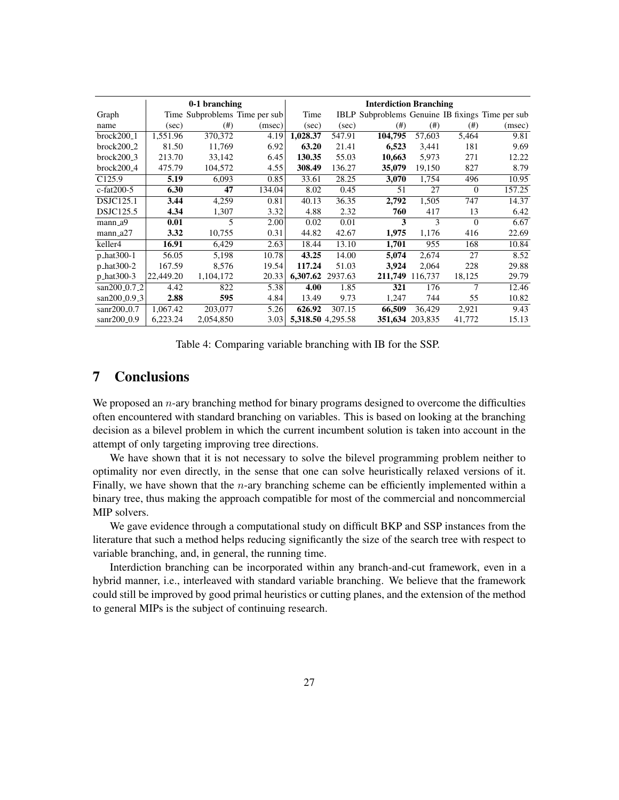|                          |           | 0-1 branching                 |        | <b>Interdiction Branching</b> |                   |         |                 |          |                                                         |
|--------------------------|-----------|-------------------------------|--------|-------------------------------|-------------------|---------|-----------------|----------|---------------------------------------------------------|
| Graph                    |           | Time Subproblems Time per sub |        | Time                          |                   |         |                 |          | <b>IBLP</b> Subproblems Genuine IB fixings Time per sub |
| name                     | (sec)     | (# )                          | (msec) | (sec)                         | (sec)             | (# )    | (# )            | $^{(#)}$ | (msec)                                                  |
| $brock200_1$             | 1,551.96  | 370,372                       | 4.19   | 1,028.37                      | 547.91            | 104.795 | 57,603          | 5,464    | 9.81                                                    |
| $brock200_2$             | 81.50     | 11,769                        | 6.92   | 63.20                         | 21.41             | 6,523   | 3,441           | 181      | 9.69                                                    |
| $brock200_3$             | 213.70    | 33,142                        | 6.45   | 130.35                        | 55.03             | 10,663  | 5.973           | 271      | 12.22                                                   |
| $brock200_4$             | 475.79    | 104,572                       | 4.55   | 308.49                        | 136.27            | 35,079  | 19,150          | 827      | 8.79                                                    |
| C <sub>125.9</sub>       | 5.19      | 6,093                         | 0.85   | 33.61                         | 28.25             | 3,070   | 1,754           | 496      | 10.95                                                   |
| $c$ -fat $200-5$         | 6.30      | 47                            | 134.04 | 8.02                          | 0.45              | 51      | 27              | $\Omega$ | 157.25                                                  |
| <b>DSJC125.1</b>         | 3.44      | 4,259                         | 0.81   | 40.13                         | 36.35             | 2,792   | 1,505           | 747      | 14.37                                                   |
| DSJC125.5                | 4.34      | 1,307                         | 3.32   | 4.88                          | 2.32              | 760     | 417             | 13       | 6.42                                                    |
| mann_a9                  | 0.01      | 5                             | 2.00   | 0.02                          | 0.01              | 3       | 3               | $\Omega$ | 6.67                                                    |
| mann_a27                 | 3.32      | 10,755                        | 0.31   | 44.82                         | 42.67             | 1,975   | 1,176           | 416      | 22.69                                                   |
| keller4                  | 16.91     | 6,429                         | 2.63   | 18.44                         | 13.10             | 1,701   | 955             | 168      | 10.84                                                   |
| p_hat300-1               | 56.05     | 5,198                         | 10.78  | 43.25                         | 14.00             | 5,074   | 2,674           | 27       | 8.52                                                    |
| p_hat300-2               | 167.59    | 8.576                         | 19.54  | 117.24                        | 51.03             | 3.924   | 2.064           | 228      | 29.88                                                   |
| p_hat300-3               | 22,449.20 | 1,104,172                     | 20.33  | 6,307.62                      | 2937.63           | 211,749 | 116,737         | 18,125   | 29.79                                                   |
| san200 <sub>-0.7-2</sub> | 4.42      | 822                           | 5.38   | 4.00                          | 1.85              | 321     | 176             | 7        | 12.46                                                   |
| san200_0.9_3             | 2.88      | 595                           | 4.84   | 13.49                         | 9.73              | 1,247   | 744             | 55       | 10.82                                                   |
| sanr200 $\Omega$ .7      | 1,067.42  | 203,077                       | 5.26   | 626.92                        | 307.15            | 66.509  | 36,429          | 2.921    | 9.43                                                    |
| $san200_0.9$             | 6,223.24  | 2,054,850                     | 3.03   |                               | 5,318.50 4,295.58 |         | 351,634 203,835 | 41,772   | 15.13                                                   |

Table 4: Comparing variable branching with IB for the SSP.

## 7 Conclusions

We proposed an  $n$ -ary branching method for binary programs designed to overcome the difficulties often encountered with standard branching on variables. This is based on looking at the branching decision as a bilevel problem in which the current incumbent solution is taken into account in the attempt of only targeting improving tree directions.

We have shown that it is not necessary to solve the bilevel programming problem neither to optimality nor even directly, in the sense that one can solve heuristically relaxed versions of it. Finally, we have shown that the  $n$ -ary branching scheme can be efficiently implemented within a binary tree, thus making the approach compatible for most of the commercial and noncommercial MIP solvers.

We gave evidence through a computational study on difficult BKP and SSP instances from the literature that such a method helps reducing significantly the size of the search tree with respect to variable branching, and, in general, the running time.

Interdiction branching can be incorporated within any branch-and-cut framework, even in a hybrid manner, i.e., interleaved with standard variable branching. We believe that the framework could still be improved by good primal heuristics or cutting planes, and the extension of the method to general MIPs is the subject of continuing research.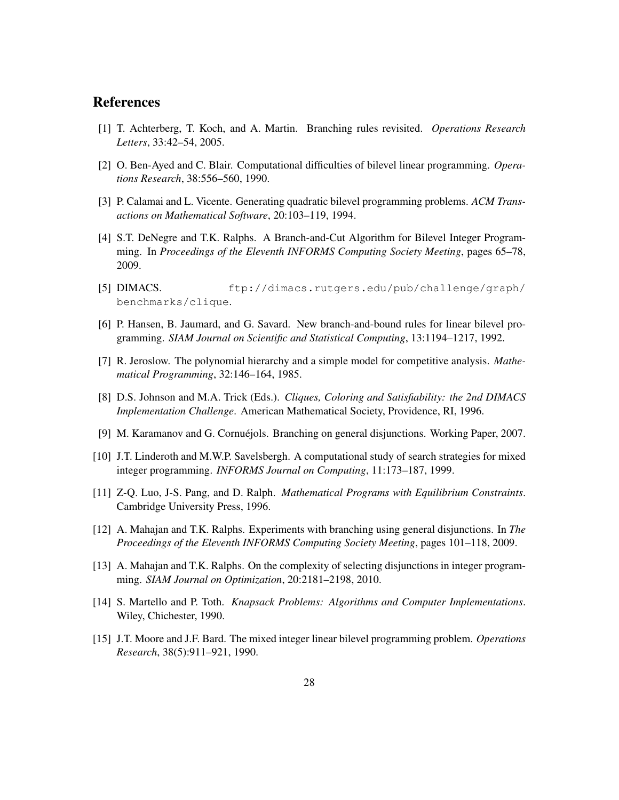### References

- [1] T. Achterberg, T. Koch, and A. Martin. Branching rules revisited. *Operations Research Letters*, 33:42–54, 2005.
- [2] O. Ben-Ayed and C. Blair. Computational difficulties of bilevel linear programming. *Operations Research*, 38:556–560, 1990.
- [3] P. Calamai and L. Vicente. Generating quadratic bilevel programming problems. *ACM Transactions on Mathematical Software*, 20:103–119, 1994.
- [4] S.T. DeNegre and T.K. Ralphs. A Branch-and-Cut Algorithm for Bilevel Integer Programming. In *Proceedings of the Eleventh INFORMS Computing Society Meeting*, pages 65–78, 2009.
- [5] DIMACS. ftp://dimacs.rutgers.edu/pub/challenge/graph/ benchmarks/clique.
- [6] P. Hansen, B. Jaumard, and G. Savard. New branch-and-bound rules for linear bilevel programming. *SIAM Journal on Scientific and Statistical Computing*, 13:1194–1217, 1992.
- [7] R. Jeroslow. The polynomial hierarchy and a simple model for competitive analysis. *Mathematical Programming*, 32:146–164, 1985.
- [8] D.S. Johnson and M.A. Trick (Eds.). *Cliques, Coloring and Satisfiability: the 2nd DIMACS Implementation Challenge*. American Mathematical Society, Providence, RI, 1996.
- [9] M. Karamanov and G. Cornuéjols. Branching on general disjunctions. Working Paper, 2007.
- [10] J.T. Linderoth and M.W.P. Savelsbergh. A computational study of search strategies for mixed integer programming. *INFORMS Journal on Computing*, 11:173–187, 1999.
- [11] Z-Q. Luo, J-S. Pang, and D. Ralph. *Mathematical Programs with Equilibrium Constraints*. Cambridge University Press, 1996.
- [12] A. Mahajan and T.K. Ralphs. Experiments with branching using general disjunctions. In *The Proceedings of the Eleventh INFORMS Computing Society Meeting*, pages 101–118, 2009.
- [13] A. Mahajan and T.K. Ralphs. On the complexity of selecting disjunctions in integer programming. *SIAM Journal on Optimization*, 20:2181–2198, 2010.
- [14] S. Martello and P. Toth. *Knapsack Problems: Algorithms and Computer Implementations*. Wiley, Chichester, 1990.
- [15] J.T. Moore and J.F. Bard. The mixed integer linear bilevel programming problem. *Operations Research*, 38(5):911–921, 1990.